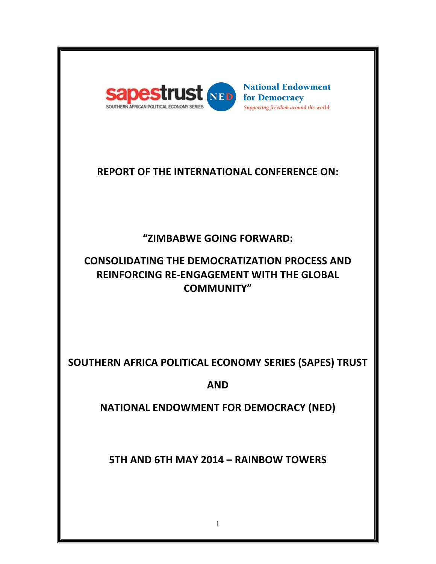

**National Endowment** for Democracy Supporting freedom around the world

# **REPORT OF THE INTERNATIONAL CONFERENCE ON:**

# **"ZIMBABWE GOING FORWARD:**

# **CONSOLIDATING THE DEMOCRATIZATION PROCESS AND REINFORCING RE-ENGAGEMENT WITH THE GLOBAL COMMUNITY"**

**SOUTHERN AFRICA POLITICAL ECONOMY SERIES (SAPES) TRUST** 

**AND**

**NATIONAL ENDOWMENT FOR DEMOCRACY (NED)** 

**5TH AND 6TH MAY 2014 - RAINBOW TOWERS**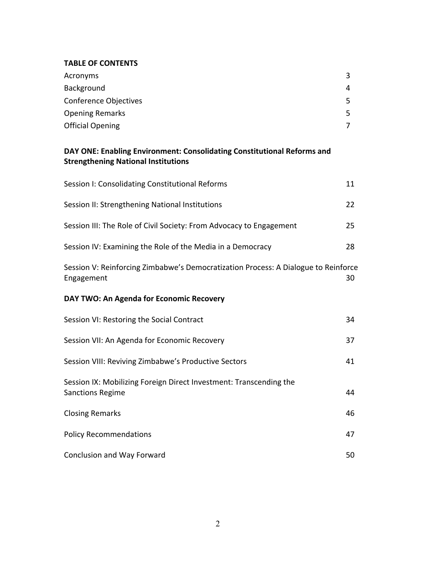#### **TABLE OF CONTENTS**

| Acronyms                | 3  |
|-------------------------|----|
| Background              | 4  |
| Conference Objectives   | 5. |
| <b>Opening Remarks</b>  | 5. |
| <b>Official Opening</b> |    |

# DAY ONE: Enabling Environment: Consolidating Constitutional Reforms and **Strengthening National Institutions**

| Session I: Consolidating Constitutional Reforms                                                  | 11 |
|--------------------------------------------------------------------------------------------------|----|
| Session II: Strengthening National Institutions                                                  | 22 |
| Session III: The Role of Civil Society: From Advocacy to Engagement                              | 25 |
| Session IV: Examining the Role of the Media in a Democracy                                       | 28 |
| Session V: Reinforcing Zimbabwe's Democratization Process: A Dialogue to Reinforce<br>Engagement | 30 |
| DAY TWO: An Agenda for Economic Recovery                                                         |    |
| Session VI: Restoring the Social Contract                                                        | 34 |
| Session VII: An Agenda for Economic Recovery                                                     | 37 |
| Session VIII: Reviving Zimbabwe's Productive Sectors                                             | 41 |
| Session IX: Mobilizing Foreign Direct Investment: Transcending the<br><b>Sanctions Regime</b>    | 44 |
| <b>Closing Remarks</b>                                                                           | 46 |
| <b>Policy Recommendations</b>                                                                    | 47 |
| <b>Conclusion and Way Forward</b>                                                                | 50 |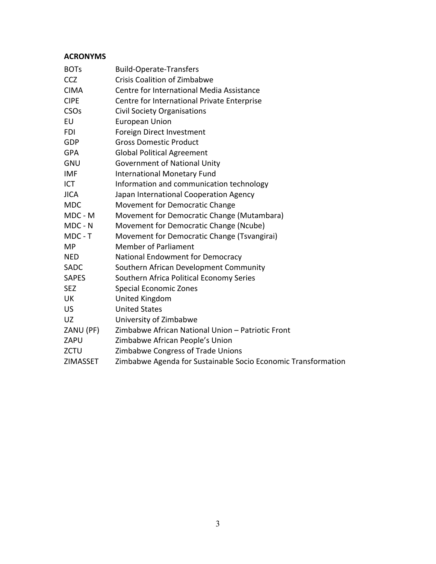# **ACRONYMS**

| <b>BOTs</b>     | <b>Build-Operate-Transfers</b>                                |
|-----------------|---------------------------------------------------------------|
| CCZ             | <b>Crisis Coalition of Zimbabwe</b>                           |
| <b>CIMA</b>     | Centre for International Media Assistance                     |
| <b>CIPE</b>     | Centre for International Private Enterprise                   |
| CSOs            | <b>Civil Society Organisations</b>                            |
| EU              | <b>European Union</b>                                         |
| FDI             | Foreign Direct Investment                                     |
| <b>GDP</b>      | <b>Gross Domestic Product</b>                                 |
| <b>GPA</b>      | <b>Global Political Agreement</b>                             |
| GNU             | <b>Government of National Unity</b>                           |
| IMF             | <b>International Monetary Fund</b>                            |
| <b>ICT</b>      | Information and communication technology                      |
| <b>JICA</b>     | Japan International Cooperation Agency                        |
| <b>MDC</b>      | Movement for Democratic Change                                |
| MDC - M         | Movement for Democratic Change (Mutambara)                    |
| MDC - N         | Movement for Democratic Change (Ncube)                        |
| MDC - T         | Movement for Democratic Change (Tsvangirai)                   |
| <b>MP</b>       | <b>Member of Parliament</b>                                   |
| <b>NED</b>      | National Endowment for Democracy                              |
| <b>SADC</b>     | Southern African Development Community                        |
| <b>SAPES</b>    | Southern Africa Political Economy Series                      |
| <b>SEZ</b>      | Special Economic Zones                                        |
| UK              | United Kingdom                                                |
| <b>US</b>       | <b>United States</b>                                          |
| UZ.             | University of Zimbabwe                                        |
| ZANU (PF)       | Zimbabwe African National Union - Patriotic Front             |
| ZAPU            | Zimbabwe African People's Union                               |
| <b>ZCTU</b>     | Zimbabwe Congress of Trade Unions                             |
| <b>ZIMASSET</b> | Zimbabwe Agenda for Sustainable Socio Economic Transformation |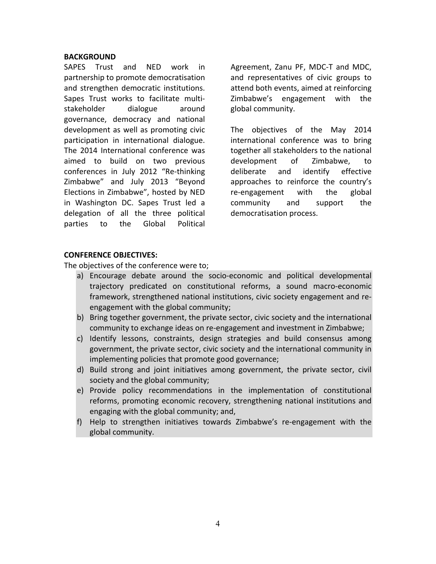#### **BACKGROUND**

SAPES Trust and NED work in partnership to promote democratisation and strengthen democratic institutions. Sapes Trust works to facilitate multistakeholder dialogue around governance, democracy and national development as well as promoting civic participation in international dialogue. The 2014 International conference was aimed to build on two previous conferences in July 2012 "Re-thinking Zimbabwe" and July 2013 "Beyond Elections in Zimbabwe", hosted by NED in Washington DC. Sapes Trust led a delegation of all the three political parties to the Global Political Agreement, Zanu PF, MDC-T and MDC, and representatives of civic groups to attend both events, aimed at reinforcing Zimbabwe's engagement with the global community.

The objectives of the May 2014 international conference was to bring together all stakeholders to the national development of Zimbabwe, to deliberate and identify effective approaches to reinforce the country's re-engagement with the global community and support the democratisation process.

#### **CONFERENCE OBJECTIVES:**

The objectives of the conference were to;

- a) Encourage debate around the socio-economic and political developmental trajectory predicated on constitutional reforms, a sound macro-economic framework, strengthened national institutions, civic society engagement and reengagement with the global community;
- b) Bring together government, the private sector, civic society and the international community to exchange ideas on re-engagement and investment in Zimbabwe;
- c) Identify lessons, constraints, design strategies and build consensus among government, the private sector, civic society and the international community in implementing policies that promote good governance;
- d) Build strong and joint initiatives among government, the private sector, civil society and the global community;
- e) Provide policy recommendations in the implementation of constitutional reforms, promoting economic recovery, strengthening national institutions and engaging with the global community; and,
- f) Help to strengthen initiatives towards Zimbabwe's re-engagement with the global community.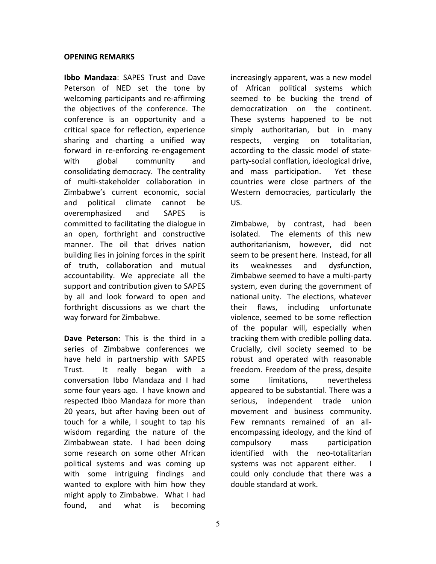#### **OPENING REMARKS**

**Ibbo Mandaza:** SAPES Trust and Dave Peterson of NED set the tone by welcoming participants and re-affirming the objectives of the conference. The conference is an opportunity and a critical space for reflection, experience sharing and charting a unified way forward in re-enforcing re-engagement with global community and consolidating democracy. The centrality of multi-stakeholder collaboration in Zimbabwe's current economic, social and political climate cannot be overemphasized and SAPES is committed to facilitating the dialogue in an open, forthright and constructive manner. The oil that drives nation building lies in joining forces in the spirit of truth, collaboration and mutual accountability. We appreciate all the support and contribution given to SAPES by all and look forward to open and forthright discussions as we chart the way forward for Zimbabwe.

**Dave Peterson:** This is the third in a series of Zimbabwe conferences we have held in partnership with SAPES Trust. It really began with a conversation Ibbo Mandaza and I had some four years ago. I have known and respected Ibbo Mandaza for more than 20 years, but after having been out of touch for a while, I sought to tap his wisdom regarding the nature of the Zimbabwean state. I had been doing some research on some other African political systems and was coming up with some intriguing findings and wanted to explore with him how they might apply to Zimbabwe. What I had found, and what is becoming

increasingly apparent, was a new model of African political systems which seemed to be bucking the trend of democratization on the continent. These systems happened to be not simply authoritarian, but in many respects, verging on totalitarian, according to the classic model of stateparty-social conflation, ideological drive, and mass participation. Yet these countries were close partners of the Western democracies, particularly the US.

Zimbabwe, by contrast, had been isolated. The elements of this new authoritarianism, however, did not seem to be present here. Instead, for all its weaknesses and dysfunction, Zimbabwe seemed to have a multi-party system, even during the government of national unity. The elections, whatever their flaws, including unfortunate violence, seemed to be some reflection of the popular will, especially when tracking them with credible polling data. Crucially, civil society seemed to be robust and operated with reasonable freedom. Freedom of the press, despite some limitations, nevertheless appeared to be substantial. There was a serious, independent trade union movement and business community. Few remnants remained of an allencompassing ideology, and the kind of compulsory mass participation identified with the neo-totalitarian systems was not apparent either.  $\blacksquare$ could only conclude that there was a double standard at work.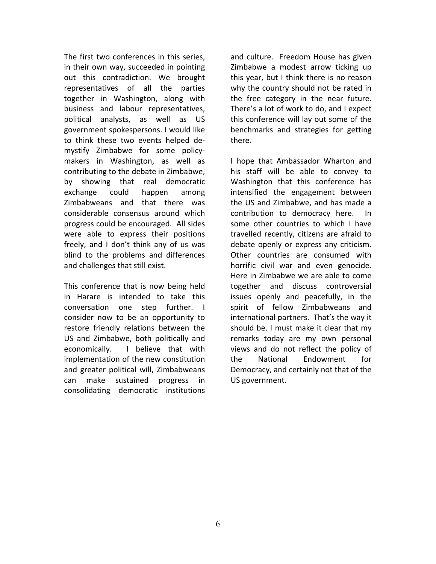The first two conferences in this series, in their own way, succeeded in pointing out this contradiction. We brought representatives of all the parties together in Washington, along with business and labour representatives, political analysts, as well as US government spokespersons. I would like to think these two events helped demystify Zimbabwe for some policymakers in Washington, as well as contributing to the debate in Zimbabwe, by showing that real democratic exchange could happen among Zimbabweans and that there was considerable consensus around which progress could be encouraged. All sides were able to express their positions freely, and I don't think any of us was blind to the problems and differences and challenges that still exist.

This conference that is now being held in Harare is intended to take this conversation one step further. I consider now to be an opportunity to restore friendly relations between the US and Zimbabwe, both politically and economically. I believe that with implementation of the new constitution and greater political will, Zimbabweans can make sustained progress in consolidating democratic institutions 

and culture. Freedom House has given Zimbabwe a modest arrow ticking up this year, but I think there is no reason why the country should not be rated in the free category in the near future. There's a lot of work to do, and I expect this conference will lay out some of the benchmarks and strategies for getting there.

I hope that Ambassador Wharton and his staff will be able to convey to Washington that this conference has intensified the engagement between the US and Zimbabwe, and has made a contribution to democracy here. In some other countries to which I have travelled recently, citizens are afraid to debate openly or express any criticism. Other countries are consumed with horrific civil war and even genocide. Here in Zimbabwe we are able to come together and discuss controversial issues openly and peacefully, in the spirit of fellow Zimbabweans and international partners. That's the way it should be. I must make it clear that my remarks today are my own personal views and do not reflect the policy of the National Fndowment for Democracy, and certainly not that of the US government.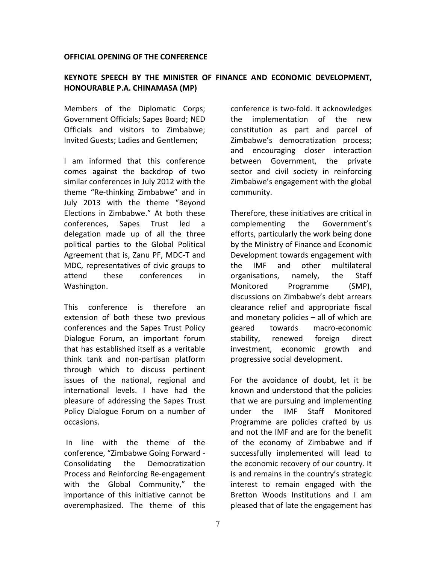#### **OFFICIAL OPENING OF THE CONFERENCE**

### **KEYNOTE SPEECH BY THE MINISTER OF FINANCE AND ECONOMIC DEVELOPMENT, HONOURABLE P.A. CHINAMASA (MP)**

Members of the Diplomatic Corps; Government Officials; Sapes Board; NED Officials and visitors to Zimbabwe; Invited Guests; Ladies and Gentlemen;

I am informed that this conference comes against the backdrop of two similar conferences in July 2012 with the theme "Re-thinking Zimbabwe" and in July 2013 with the theme "Beyond Elections in Zimbabwe." At both these conferences, Sapes Trust led a delegation made up of all the three political parties to the Global Political Agreement that is, Zanu PF, MDC-T and MDC, representatives of civic groups to attend these conferences in Washington. 

This conference is therefore an extension of both these two previous conferences and the Sapes Trust Policy Dialogue Forum, an important forum that has established itself as a veritable think tank and non-partisan platform through which to discuss pertinent issues of the national, regional and international levels. I have had the pleasure of addressing the Sapes Trust Policy Dialogue Forum on a number of occasions.

In line with the theme of the conference, "Zimbabwe Going Forward -Consolidating the Democratization Process and Reinforcing Re-engagement with the Global Community," the importance of this initiative cannot be overemphasized. The theme of this

conference is two-fold. It acknowledges the implementation of the new constitution as part and parcel of Zimbabwe's democratization process; and encouraging closer interaction between Government, the private sector and civil society in reinforcing Zimbabwe's engagement with the global community. 

Therefore, these initiatives are critical in complementing the Government's efforts, particularly the work being done by the Ministry of Finance and Economic Development towards engagement with the IMF and other multilateral organisations, namely, the Staff Monitored Programme (SMP), discussions on Zimbabwe's debt arrears clearance relief and appropriate fiscal and monetary policies  $-$  all of which are geared towards macro-economic stability, renewed foreign direct investment, economic growth and progressive social development.

For the avoidance of doubt, let it be known and understood that the policies that we are pursuing and implementing under the IMF Staff Monitored Programme are policies crafted by us and not the IMF and are for the benefit of the economy of Zimbabwe and if successfully implemented will lead to the economic recovery of our country. It is and remains in the country's strategic interest to remain engaged with the Bretton Woods Institutions and I am pleased that of late the engagement has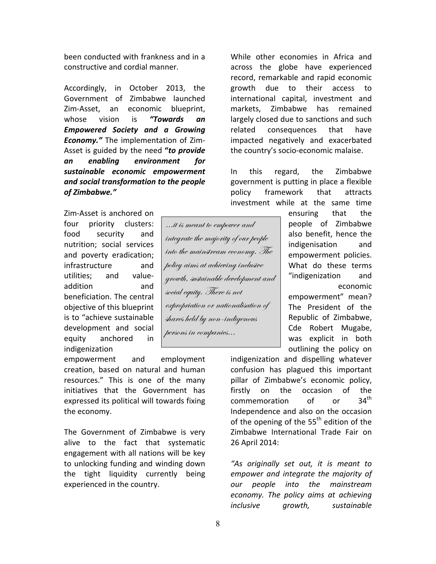been conducted with frankness and in a constructive and cordial manner.

Accordingly, in October 2013, the Government of Zimbabwe launched Zim-Asset, an economic blueprint, whose vision is "**Towards an** *Empowered Society and a Growing Economy."* The implementation of Zim-Asset is guided by the need "to provide *an enabling environment for sustainable economic empowerment*  and social transformation to the people *of Zimbabwe."*

Zim-Asset is anchored on four priority clusters: food security and nutrition; social services and poverty eradication; infrastructure and utilities; and valueaddition and beneficiation. The central objective of this blueprint is to "achieve sustainable development and social equity anchored in indigenization 

empowerment and employment creation, based on natural and human resources." This is one of the many initiatives that the Government has expressed its political will towards fixing the economy.

The Government of Zimbabwe is very alive to the fact that systematic engagement with all nations will be key to unlocking funding and winding down the tight liquidity currently being experienced in the country.

While other economies in Africa and across the globe have experienced record, remarkable and rapid economic growth due to their access to international capital, investment and markets. Zimbabwe has remained largely closed due to sanctions and such related consequences that have impacted negatively and exacerbated the country's socio-economic malaise.

In this regard, the Zimbabwe government is putting in place a flexible policy framework that attracts investment while at the same time

> ensuring that the people of Zimbabwe also benefit, hence the indigenisation and empowerment policies. What do these terms "indigenization and economic empowerment" mean? The President of the Republic of Zimbabwe, Cde Robert Mugabe, was explicit in both outlining the policy on

indigenization and dispelling whatever confusion has plagued this important pillar of Zimbabwe's economic policy, firstly on the occasion of the  $common$  commemoration of or  $34<sup>th</sup>$ Independence and also on the occasion of the opening of the  $55<sup>th</sup>$  edition of the Zimbabwe International Trade Fair on 26 April 2014: 

*"As originally set out, it is meant to empower and integrate the majority of our people into the mainstream*  economy. The policy aims at achieving *inclusive growth, sustainable* 

integrate the majority of our people into the mainstream economy. The policy aims at achieving inclusive growth, sustainable development and social equity. There is not expropriation or nationalisation of shares held by non-indigenous persons in companies…

…it is meant to empower and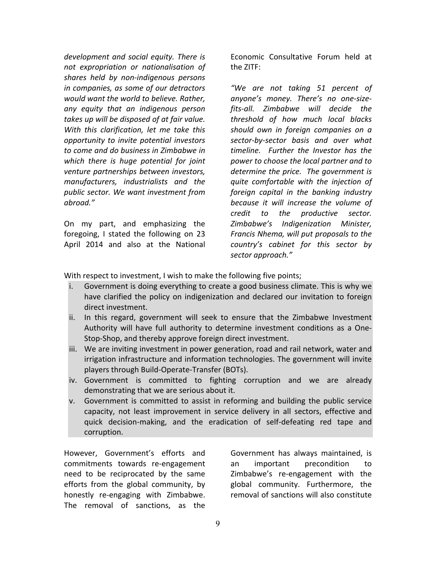development and social equity. There is *not expropriation or nationalisation of shares held by non-indigenous persons in companies, as some of our detractors would* want the world to believe. Rather, *any equity that an indigenous person takes up will be disposed of at fair value.* With this clarification, let me take this *opportunity to invite potential investors to come and do business in Zimbabwe in*  which there is huge potential for joint *venture partnerships between investors, manufacturers, industrialists and the*  public sector. We want investment from *abroad."*

On my part, and emphasizing the foregoing, I stated the following on 23 April 2014 and also at the National

Economic Consultative Forum held at the ZITF:

*"We are not taking 51 percent of anyone's money. There's no one-sizefits-all. Zimbabwe will decide the threshold of how much local blacks should own in foreign companies on a sector-by-sector basis and over what timeline. Further the Investor has the*  power to choose the local partner and to determine the price. The government is *quite comfortable with the injection of foreign capital in the banking industry because it will increase the volume of credit to the productive sector. Zimbabwe's Indigenization Minister, Francis Nhema, will put proposals to the country's cabinet for this sector by sector approach."*

With respect to investment, I wish to make the following five points;

- i. Government is doing everything to create a good business climate. This is why we have clarified the policy on indigenization and declared our invitation to foreign direct investment.
- ii. In this regard, government will seek to ensure that the Zimbabwe Investment Authority will have full authority to determine investment conditions as a One-Stop-Shop, and thereby approve foreign direct investment.
- iii. We are inviting investment in power generation, road and rail network, water and irrigation infrastructure and information technologies. The government will invite players through Build-Operate-Transfer (BOTs).
- iv. Government is committed to fighting corruption and we are already demonstrating that we are serious about it.
- v. Government is committed to assist in reforming and building the public service capacity, not least improvement in service delivery in all sectors, effective and quick decision-making, and the eradication of self-defeating red tape and corruption.

However, Government's efforts and commitments towards re-engagement need to be reciprocated by the same efforts from the global community, by honestly re-engaging with Zimbabwe. The removal of sanctions, as the Government has always maintained, is an important precondition to Zimbabwe's re-engagement with the global community. Furthermore, the removal of sanctions will also constitute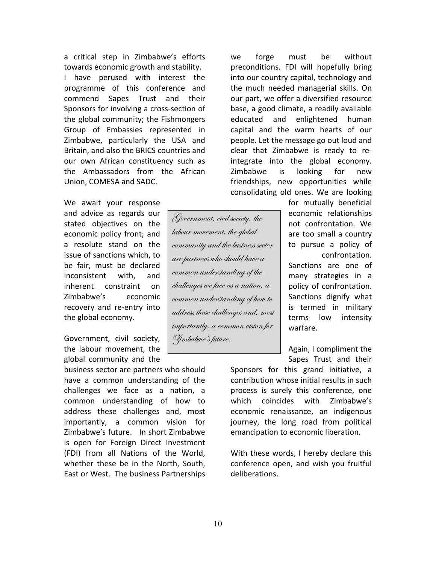a critical step in Zimbabwe's efforts towards economic growth and stability. I have perused with interest the programme of this conference and commend Sapes Trust and their Sponsors for involving a cross-section of the global community; the Fishmongers Group of Embassies represented in Zimbabwe, particularly the USA and Britain, and also the BRICS countries and our own African constituency such as the Ambassadors from the African Union, COMESA and SADC.

We await your response and advice as regards our stated objectives on the economic policy front; and a resolute stand on the issue of sanctions which, to be fair, must be declared inconsistent with, and inherent constraint on Zimbabwe's economic recovery and re-entry into the global economy.

Government, civil society, the labour movement, the global community and the

business sector are partners who should have a common understanding of the challenges we face as a nation, a common understanding of how to address these challenges and, most importantly, a common vision for Zimbabwe's future. In short Zimbabwe is open for Foreign Direct Investment (FDI) from all Nations of the World, whether these be in the North, South, East or West. The business Partnerships

we forge must be without preconditions. FDI will hopefully bring into our country capital, technology and the much needed managerial skills. On our part, we offer a diversified resource base, a good climate, a readily available educated and enlightened human capital and the warm hearts of our people. Let the message go out loud and clear that Zimbabwe is ready to reintegrate into the global economy. Zimbabwe is looking for new friendships, new opportunities while consolidating old ones. We are looking

> for mutually beneficial economic relationships not confrontation. We are too small a country to pursue a policy of confrontation. Sanctions are one of many strategies in a policy of confrontation. Sanctions dignify what is termed in military terms low intensity warfare.

Again, I compliment the Sapes Trust and their

Sponsors for this grand initiative, a contribution whose initial results in such process is surely this conference, one which coincides with Zimbabwe's economic renaissance, an indigenous journey, the long road from political emancipation to economic liberation.

With these words, I hereby declare this conference open, and wish you fruitful deliberations. 

Government, civil society, the labour movement, the global

Zimbabwe's future.

community and the business sector are partners who should have a common understanding of the challenges we face as a nation, a common understanding of how to address these challenges and, most importantly, a common vision for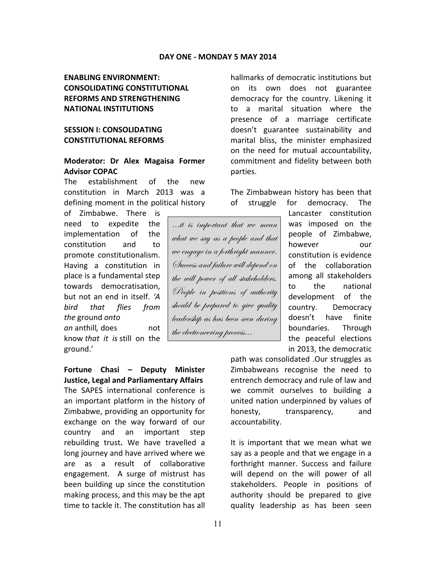# **ENABLING FNVIRONMENT: CONSOLIDATING CONSTITUTIONAL REFORMS AND STRENGTHENING NATIONAL INSTITUTIONS**

# **SESSION I: CONSOLIDATING CONSTITUTIONAL REFORMS**

#### **Moderator: Dr Alex Magaisa Former Advisor COPAC**

The establishment of the new constitution in March 2013 was a defining moment in the political history

of Zimbabwe. There is need to expedite the implementation of the constitution and to promote constitutionalism. Having a constitution in place is a fundamental step towards democratisation, but not an end in itself. 'A *bird that flies from*  the ground onto *an* anthill*,* does not know *that it is* still on the ground.'

**Fortune Chasi – Deputy Minister Justice, Legal and Parliamentary Affairs** The SAPES international conference is an important platform in the history of Zimbabwe, providing an opportunity for exchange on the way forward of our country and an important step rebuilding trust. We have travelled a long journey and have arrived where we are as a result of collaborative engagement. A surge of mistrust has been building up since the constitution making process, and this may be the apt time to tackle it. The constitution has all

hallmarks of democratic institutions but on its own does not guarantee democracy for the country. Likening it to a marital situation where the presence of a marriage certificate doesn't guarantee sustainability and marital bliss, the minister emphasized on the need for mutual accountability, commitment and fidelity between both parties.

The Zimbabwean history has been that of struggle for democracy. The

…it is important that we mean what we say as a people and that we engage in a forthright manner. Success and failure will depend on the will power of all stakeholders. People in positions of authority should be prepared to give quality leadership as has been seen during the electioneering process…

Lancaster constitution was imposed on the people of Zimbabwe, however our constitution is evidence of the collaboration among all stakeholders to the national development of the country. Democracy doesn't have finite boundaries. Through the peaceful elections in 2013, the democratic

path was consolidated .Our struggles as Zimbabweans recognise the need to entrench democracy and rule of law and we commit ourselves to building a united nation underpinned by values of honesty, transparency, and accountability.

It is important that we mean what we say as a people and that we engage in a forthright manner. Success and failure will depend on the will power of all stakeholders. People in positions of authority should be prepared to give quality leadership as has been seen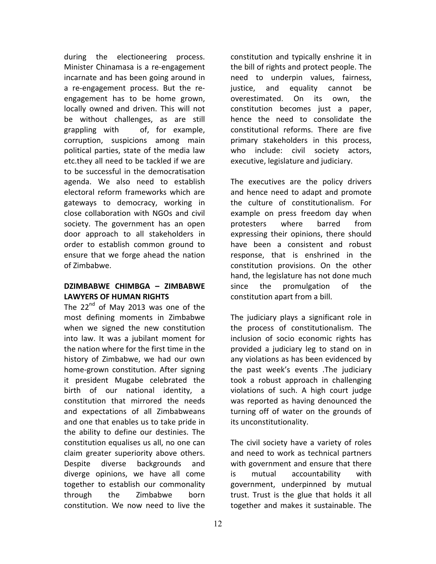during the electioneering process. Minister Chinamasa is a re-engagement incarnate and has been going around in a re-engagement process. But the reengagement has to be home grown, locally owned and driven. This will not be without challenges, as are still grappling with of, for example, corruption, suspicions among main political parties, state of the media law etc.they all need to be tackled if we are to be successful in the democratisation agenda. We also need to establish electoral reform frameworks which are gateways to democracy, working in close collaboration with NGOs and civil society. The government has an open door approach to all stakeholders in order to establish common ground to ensure that we forge ahead the nation of Zimbabwe.

# **DZIMBABWE CHIMBGA – ZIMBABWE**  LAWYERS OF HUMAN RIGHTS

The  $22^{nd}$  of May 2013 was one of the most defining moments in Zimbabwe when we signed the new constitution into law. It was a jubilant moment for the nation where for the first time in the history of Zimbabwe, we had our own home-grown constitution. After signing it president Mugabe celebrated the birth of our national identity, a constitution that mirrored the needs and expectations of all Zimbabweans and one that enables us to take pride in the ability to define our destinies. The constitution equalises us all, no one can claim greater superiority above others. Despite diverse backgrounds and diverge opinions, we have all come together to establish our commonality through the Zimbabwe born constitution. We now need to live the

constitution and typically enshrine it in the bill of rights and protect people. The need to underpin values, fairness, justice, and equality cannot be overestimated. On its own, the constitution becomes just a paper, hence the need to consolidate the constitutional reforms. There are five primary stakeholders in this process, who include: civil society actors, executive, legislature and judiciary.

The executives are the policy drivers and hence need to adapt and promote the culture of constitutionalism. For example on press freedom day when protesters where barred from expressing their opinions, there should have been a consistent and robust response, that is enshrined in the constitution provisions. On the other hand, the legislature has not done much since the promulgation of the constitution apart from a bill.

The judiciary plays a significant role in the process of constitutionalism. The inclusion of socio economic rights has provided a judiciary leg to stand on in any violations as has been evidenced by the past week's events .The judiciary took a robust approach in challenging violations of such. A high court judge was reported as having denounced the turning off of water on the grounds of its unconstitutionality.

The civil society have a variety of roles and need to work as technical partners with government and ensure that there is mutual accountability with government, underpinned by mutual trust. Trust is the glue that holds it all together and makes it sustainable. The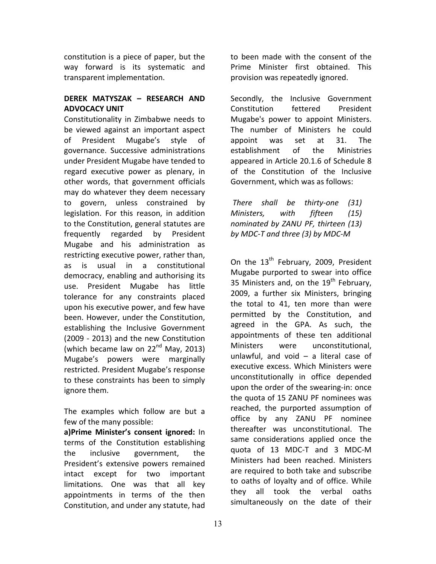constitution is a piece of paper, but the way forward is its systematic and transparent implementation.

# **DEREK MATYSZAK – RESEARCH AND ADVOCACY UNIT**

Constitutionality in Zimbabwe needs to be viewed against an important aspect of President Mugabe's style of governance. Successive administrations under President Mugabe have tended to regard executive power as plenary, in other words, that government officials may do whatever they deem necessary to govern, unless constrained by legislation. For this reason, in addition to the Constitution, general statutes are frequently regarded by President Mugabe and his administration as restricting executive power, rather than, as is usual in a constitutional democracy, enabling and authorising its use. President Mugabe has little tolerance for any constraints placed upon his executive power, and few have been. However, under the Constitution, establishing the Inclusive Government (2009 - 2013) and the new Constitution (which became law on  $22<sup>nd</sup>$  May, 2013) Mugabe's powers were marginally restricted. President Mugabe's response to these constraints has been to simply ignore them.

The examples which follow are but a few of the many possible:

**a)Prime Minister's consent ignored:** In terms of the Constitution establishing the inclusive government, the President's extensive powers remained intact except for two important limitations. One was that all key appointments in terms of the then Constitution, and under any statute, had

to been made with the consent of the Prime Minister first obtained. This provision was repeatedly ignored.

Secondly, the Inclusive Government Constitution fettered President Mugabe's power to appoint Ministers. The number of Ministers he could appoint was set at 31. The establishment of the Ministries appeared in Article 20.1.6 of Schedule 8 of the Constitution of the Inclusive Government, which was as follows:

*There shall be thirty-one (31) Ministers, with fifteen (15) nominated by ZANU PF, thirteen (13) by MDC-T and three (3) by MDC-M*

On the 13<sup>th</sup> February, 2009, President Mugabe purported to swear into office 35 Ministers and, on the  $19<sup>th</sup>$  February, 2009, a further six Ministers, bringing the total to 41, ten more than were permitted by the Constitution, and agreed in the GPA. As such, the appointments of these ten additional Ministers were unconstitutional. unlawful, and void  $-$  a literal case of executive excess. Which Ministers were unconstitutionally in office depended upon the order of the swearing-in: once the quota of 15 ZANU PF nominees was reached, the purported assumption of office by any ZANU PF nominee thereafter was unconstitutional. The same considerations applied once the quota of 13 MDC-T and 3 MDC-M Ministers had been reached. Ministers are required to both take and subscribe to oaths of loyalty and of office. While they all took the verbal oaths simultaneously on the date of their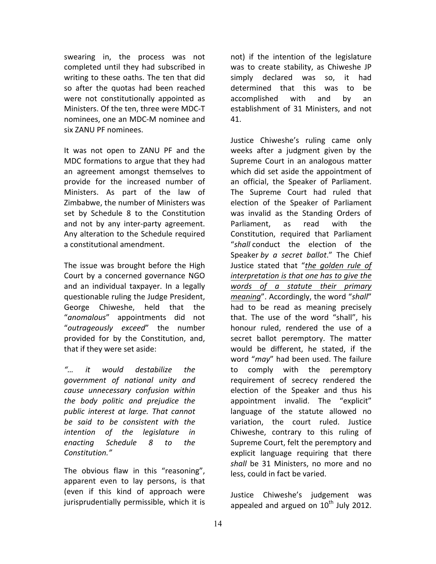swearing in, the process was not completed until they had subscribed in writing to these oaths. The ten that did so after the quotas had been reached were not constitutionally appointed as Ministers. Of the ten, three were MDC-T nominees, one an MDC-M nominee and six ZANU PF nominees.

It was not open to ZANU PF and the MDC formations to argue that they had an agreement amongst themselves to provide for the increased number of Ministers. As part of the law of Zimbabwe, the number of Ministers was set by Schedule 8 to the Constitution and not by any inter-party agreement. Any alteration to the Schedule required a constitutional amendment.

The issue was brought before the High Court by a concerned governance NGO and an individual taxpayer. In a legally questionable ruling the Judge President, George Chiweshe, held that the "*anomalous*" appointments did not "*outrageously exceed*" the number provided for by the Constitution, and, that if they were set aside:

*"… it would destabilize the government of national unity and cause unnecessary confusion within the body politic and prejudice the*  public interest at large. That cannot be said to be consistent with the *intention of the legislature in enacting Schedule 8 to the Constitution."*

The obvious flaw in this "reasoning", apparent even to lay persons, is that (even if this kind of approach were jurisprudentially permissible, which it is not) if the intention of the legislature was to create stability, as Chiweshe JP simply declared was so, it had determined that this was to be accomplished with and by an establishment of 31 Ministers, and not 41. 

Justice Chiweshe's ruling came only weeks after a judgment given by the Supreme Court in an analogous matter which did set aside the appointment of an official, the Speaker of Parliament. The Supreme Court had ruled that election of the Speaker of Parliament was invalid as the Standing Orders of Parliament, as read with the Constitution, required that Parliament "*shall* conduct the election of the Speaker by a secret ballot." The Chief Justice stated that "the golden rule of *interpretation* is that one has to give the *words of a statute their primary meaning*". Accordingly, the word "shall" had to be read as meaning precisely that. The use of the word "shall", his honour ruled, rendered the use of a secret ballot peremptory. The matter would be different, he stated, if the word "may" had been used. The failure to comply with the peremptory requirement of secrecy rendered the election of the Speaker and thus his appointment invalid. The "explicit" language of the statute allowed no variation, the court ruled. Justice Chiweshe, contrary to this ruling of Supreme Court, felt the peremptory and explicit language requiring that there shall be 31 Ministers, no more and no less, could in fact be varied.

Justice Chiweshe's judgement was appealed and argued on  $10^{th}$  July 2012.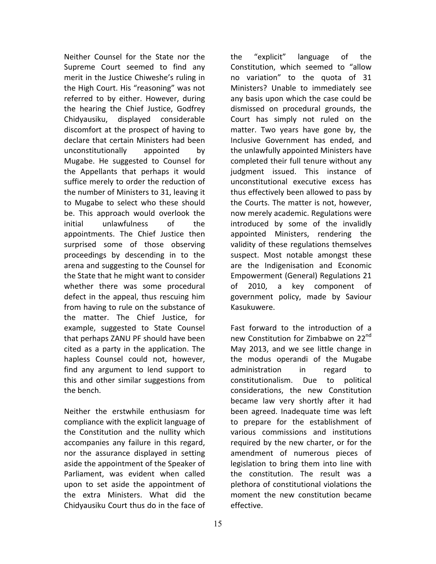Neither Counsel for the State nor the Supreme Court seemed to find any merit in the Justice Chiweshe's ruling in the High Court. His "reasoning" was not referred to by either. However, during the hearing the Chief Justice, Godfrey Chidyausiku, displayed considerable discomfort at the prospect of having to declare that certain Ministers had been unconstitutionally appointed by Mugabe. He suggested to Counsel for the Appellants that perhaps it would suffice merely to order the reduction of the number of Ministers to 31, leaving it to Mugabe to select who these should be. This approach would overlook the initial unlawfulness of the appointments. The Chief Justice then surprised some of those observing proceedings by descending in to the arena and suggesting to the Counsel for the State that he might want to consider whether there was some procedural defect in the appeal, thus rescuing him from having to rule on the substance of the matter. The Chief Justice, for example, suggested to State Counsel that perhaps ZANU PF should have been cited as a party in the application. The hapless Counsel could not, however, find any argument to lend support to this and other similar suggestions from the bench.

Neither the erstwhile enthusiasm for compliance with the explicit language of the Constitution and the nullity which accompanies any failure in this regard, nor the assurance displayed in setting aside the appointment of the Speaker of Parliament, was evident when called upon to set aside the appointment of the extra Ministers. What did the Chidyausiku Court thus do in the face of

the "explicit" language of the Constitution, which seemed to "allow no variation" to the quota of 31 Ministers? Unable to immediately see any basis upon which the case could be dismissed on procedural grounds, the Court has simply not ruled on the matter. Two years have gone by, the Inclusive Government has ended, and the unlawfully appointed Ministers have completed their full tenure without any judgment issued. This instance of unconstitutional executive excess has thus effectively been allowed to pass by the Courts. The matter is not, however, now merely academic. Regulations were introduced by some of the invalidly appointed Ministers, rendering the validity of these regulations themselves suspect. Most notable amongst these are the Indigenisation and Economic Empowerment (General) Regulations 21 of 2010, a key component of government policy, made by Saviour Kasukuwere.

Fast forward to the introduction of a new Constitution for Zimbabwe on 22<sup>nd</sup> May 2013, and we see little change in the modus operandi of the Mugabe administration in regard to constitutionalism. Due to political considerations, the new Constitution became law very shortly after it had been agreed. Inadequate time was left to prepare for the establishment of various commissions and institutions required by the new charter, or for the amendment of numerous pieces of legislation to bring them into line with the constitution. The result was a plethora of constitutional violations the moment the new constitution became effective.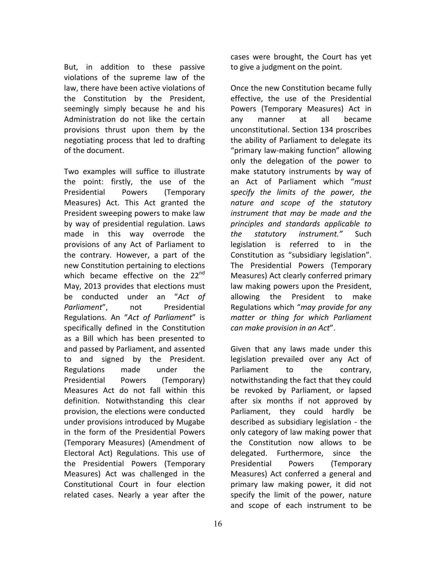But, in addition to these passive violations of the supreme law of the law, there have been active violations of the Constitution by the President, seemingly simply because he and his Administration do not like the certain provisions thrust upon them by the negotiating process that led to drafting of the document.

Two examples will suffice to illustrate the point: firstly, the use of the Presidential Powers (Temporary Measures) Act. This Act granted the President sweeping powers to make law by way of presidential regulation. Laws made in this way overrode the provisions of any Act of Parliament to the contrary. However, a part of the new Constitution pertaining to elections which became effective on the  $22^{nd}$ May, 2013 provides that elections must be conducted under an "Act of Parliament", not Presidential Regulations. An "*Act of Parliament*" is specifically defined in the Constitution as a Bill which has been presented to and passed by Parliament, and assented to and signed by the President. Regulations made under the Presidential Powers (Temporary) Measures Act do not fall within this definition. Notwithstanding this clear provision, the elections were conducted under provisions introduced by Mugabe in the form of the Presidential Powers (Temporary Measures) (Amendment of Electoral Act) Regulations. This use of the Presidential Powers (Temporary Measures) Act was challenged in the Constitutional Court in four election related cases. Nearly a year after the

cases were brought, the Court has yet to give a judgment on the point.

Once the new Constitution became fully effective, the use of the Presidential Powers (Temporary Measures) Act in any manner at all became unconstitutional. Section 134 proscribes the ability of Parliament to delegate its "primary law-making function" allowing only the delegation of the power to make statutory instruments by way of an Act of Parliament which "*must*  specify the limits of the power, the *nature and scope of the statutory instrument that may be made and the principles and standards applicable to the statutory instrument."*  Such legislation is referred to in the Constitution as "subsidiary legislation". The Presidential Powers (Temporary Measures) Act clearly conferred primary law making powers upon the President, allowing the President to make Regulations which "may provide for any *matter or thing for which Parliament can make provision in an Act*". 

Given that any laws made under this legislation prevailed over any Act of Parliament to the contrary, notwithstanding the fact that they could be revoked by Parliament, or lapsed after six months if not approved by Parliament, they could hardly be described as subsidiary legislation - the only category of law making power that the Constitution now allows to be delegated. Furthermore, since the Presidential Powers (Temporary Measures) Act conferred a general and primary law making power, it did not specify the limit of the power, nature and scope of each instrument to be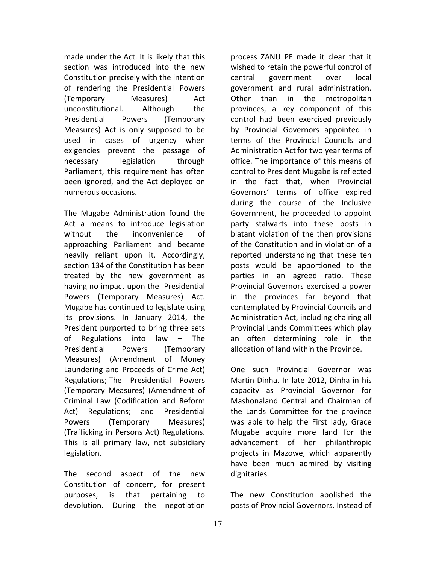made under the Act. It is likely that this section was introduced into the new Constitution precisely with the intention of rendering the Presidential Powers (Temporary Measures) Act unconstitutional. Although the Presidential Powers (Temporary Measures) Act is only supposed to be used in cases of urgency when exigencies prevent the passage of necessary legislation through Parliament, this requirement has often been ignored, and the Act deployed on numerous occasions. 

The Mugabe Administration found the Act a means to introduce legislation without the inconvenience of approaching Parliament and became heavily reliant upon it. Accordingly, section 134 of the Constitution has been treated by the new government as having no impact upon the Presidential Powers (Temporary Measures) Act. Mugabe has continued to legislate using its provisions. In January 2014, the President purported to bring three sets of Regulations into law  $-$  The Presidential Powers (Temporary Measures) (Amendment of Money Laundering and Proceeds of Crime Act) Regulations; The Presidential Powers (Temporary Measures) (Amendment of Criminal Law (Codification and Reform Act) Regulations; and Presidential Powers (Temporary Measures) (Trafficking in Persons Act) Regulations. This is all primary law, not subsidiary legislation.

The second aspect of the new Constitution of concern, for present purposes, is that pertaining to devolution. During the negotiation process ZANU PF made it clear that it wished to retain the powerful control of central government over local government and rural administration. Other than in the metropolitan provinces, a key component of this control had been exercised previously by Provincial Governors appointed in terms of the Provincial Councils and Administration Act for two year terms of office. The importance of this means of control to President Mugabe is reflected in the fact that, when Provincial Governors' terms of office expired during the course of the Inclusive Government, he proceeded to appoint party stalwarts into these posts in blatant violation of the then provisions of the Constitution and in violation of a reported understanding that these ten posts would be apportioned to the parties in an agreed ratio. These Provincial Governors exercised a power in the provinces far beyond that contemplated by Provincial Councils and Administration Act, including chairing all Provincial Lands Committees which play an often determining role in the allocation of land within the Province.

One such Provincial Governor was Martin Dinha. In late 2012, Dinha in his capacity as Provincial Governor for Mashonaland Central and Chairman of the Lands Committee for the province was able to help the First lady, Grace Mugabe acquire more land for the advancement of her philanthropic projects in Mazowe, which apparently have been much admired by visiting dignitaries. 

The new Constitution abolished the posts of Provincial Governors. Instead of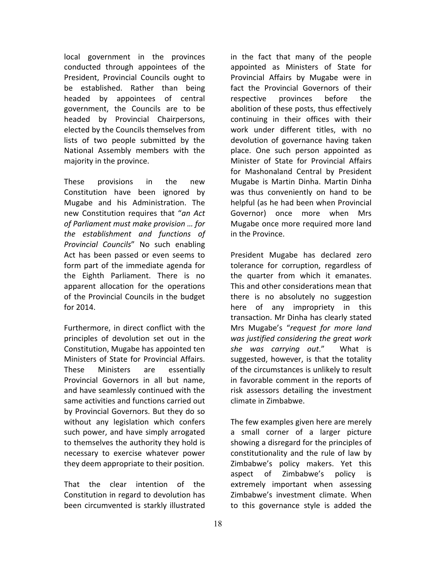local government in the provinces conducted through appointees of the President, Provincial Councils ought to be established. Rather than being headed by appointees of central government, the Councils are to be headed by Provincial Chairpersons, elected by the Councils themselves from lists of two people submitted by the National Assembly members with the majority in the province.

These provisions in the new Constitution have been ignored by Mugabe and his Administration. The new Constitution requires that "*an Act*  of Parliament must make provision ... for *the establishment and functions of Provincial Councils*" No such enabling Act has been passed or even seems to form part of the immediate agenda for the Eighth Parliament. There is no apparent allocation for the operations of the Provincial Councils in the budget for 2014.

Furthermore, in direct conflict with the principles of devolution set out in the Constitution, Mugabe has appointed ten Ministers of State for Provincial Affairs. These Ministers are essentially Provincial Governors in all but name, and have seamlessly continued with the same activities and functions carried out by Provincial Governors. But they do so without any legislation which confers such power, and have simply arrogated to themselves the authority they hold is necessary to exercise whatever power they deem appropriate to their position.

That the clear intention of the Constitution in regard to devolution has been circumvented is starkly illustrated

in the fact that many of the people appointed as Ministers of State for Provincial Affairs by Mugabe were in fact the Provincial Governors of their respective provinces before the abolition of these posts, thus effectively continuing in their offices with their work under different titles, with no devolution of governance having taken place. One such person appointed as Minister of State for Provincial Affairs for Mashonaland Central by President Mugabe is Martin Dinha. Martin Dinha was thus conveniently on hand to be helpful (as he had been when Provincial Governor) once more when Mrs Mugabe once more required more land in the Province.

President Mugabe has declared zero tolerance for corruption, regardless of the quarter from which it emanates. This and other considerations mean that there is no absolutely no suggestion here of any impropriety in this transaction. Mr Dinha has clearly stated Mrs Mugabe's "request for more land *was justified considering the great work* she was carrying out." What is suggested, however, is that the totality of the circumstances is unlikely to result in favorable comment in the reports of risk assessors detailing the investment climate in Zimbabwe.

The few examples given here are merely a small corner of a larger picture showing a disregard for the principles of constitutionality and the rule of law by Zimbabwe's policy makers. Yet this aspect of Zimbabwe's policy is extremely important when assessing Zimbabwe's investment climate. When to this governance style is added the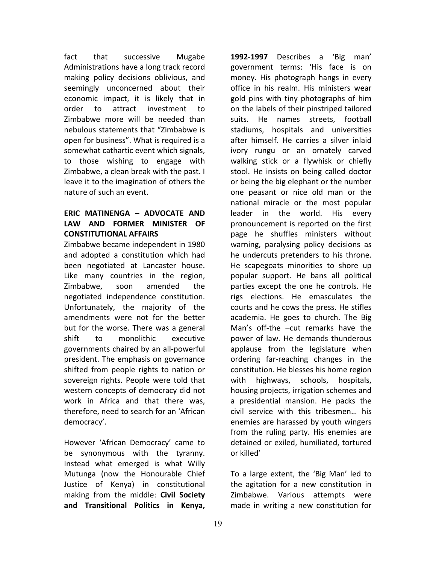fact that successive Mugabe Administrations have a long track record making policy decisions oblivious, and seemingly unconcerned about their economic impact, it is likely that in order to attract investment to Zimbabwe more will be needed than nebulous statements that "Zimbabwe is open for business". What is required is a somewhat cathartic event which signals, to those wishing to engage with Zimbabwe, a clean break with the past. I leave it to the imagination of others the nature of such an event.

# **ERIC MATINENGA – ADVOCATE AND**  LAW AND FORMER MINISTER OF **CONSTITUTIONAL AFFAIRS**

Zimbabwe became independent in 1980 and adopted a constitution which had been negotiated at Lancaster house. Like many countries in the region, Zimbabwe, soon amended the negotiated independence constitution. Unfortunately, the majority of the amendments were not for the better but for the worse. There was a general shift to monolithic executive governments chaired by an all-powerful president. The emphasis on governance shifted from people rights to nation or sovereign rights. People were told that western concepts of democracy did not work in Africa and that there was, therefore, need to search for an 'African democracy'. 

However 'African Democracy' came to be synonymous with the tyranny. Instead what emerged is what Willy Mutunga (now the Honourable Chief Justice of Kenya) in constitutional making from the middle: Civil Society **and Transitional Politics in Kenya,** 

**1992-1997** Describes a 'Big man' government terms: 'His face is on money. His photograph hangs in every office in his realm. His ministers wear gold pins with tiny photographs of him on the labels of their pinstriped tailored suits. He names streets, football stadiums, hospitals and universities after himself. He carries a silver inlaid ivory rungu or an ornately carved walking stick or a flywhisk or chiefly stool. He insists on being called doctor or being the big elephant or the number one peasant or nice old man or the national miracle or the most popular leader in the world. His every pronouncement is reported on the first page he shuffles ministers without warning, paralysing policy decisions as he undercuts pretenders to his throne. He scapegoats minorities to shore up popular support. He bans all political parties except the one he controls. He rigs elections. He emasculates the courts and he cows the press. He stifles academia. He goes to church. The Big Man's off-the -cut remarks have the power of law. He demands thunderous applause from the legislature when ordering far-reaching changes in the constitution. He blesses his home region with highways, schools, hospitals, housing projects, irrigation schemes and a presidential mansion. He packs the civil service with this tribesmen... his enemies are harassed by youth wingers from the ruling party. His enemies are detained or exiled, humiliated, tortured or killed'

To a large extent, the 'Big Man' led to the agitation for a new constitution in Zimbabwe. Various attempts were made in writing a new constitution for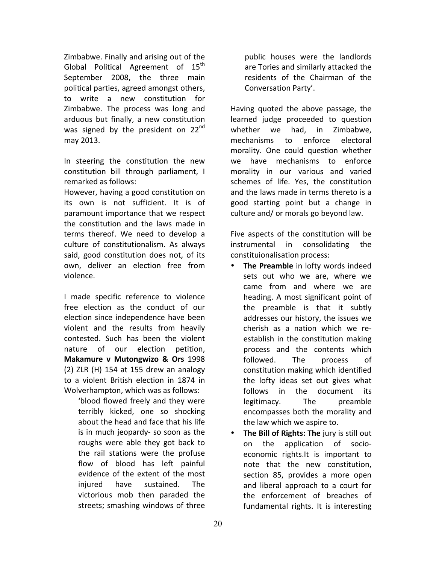Zimbabwe. Finally and arising out of the Global Political Agreement of  $15<sup>th</sup>$ September 2008, the three main political parties, agreed amongst others, to write a new constitution for Zimbabwe. The process was long and arduous but finally, a new constitution was signed by the president on  $22^{nd}$ may 2013.

In steering the constitution the new constitution bill through parliament, I remarked as follows:

However, having a good constitution on its own is not sufficient. It is of paramount importance that we respect the constitution and the laws made in terms thereof. We need to develop a culture of constitutionalism. As always said, good constitution does not, of its own, deliver an election free from violence.

I made specific reference to violence free election as the conduct of our election since independence have been violent and the results from heavily contested. Such has been the violent nature of our election petition, **Makamure v Mutongwizo & Ors** 1998  $(2)$  ZLR  $(H)$  154 at 155 drew an analogy to a violent British election in 1874 in Wolverhampton, which was as follows:

'blood flowed freely and they were terribly kicked, one so shocking about the head and face that his life is in much jeopardy- so soon as the roughs were able they got back to the rail stations were the profuse flow of blood has left painful evidence of the extent of the most injured have sustained. The victorious mob then paraded the streets; smashing windows of three

public houses were the landlords are Tories and similarly attacked the residents of the Chairman of the Conversation Party'.

Having quoted the above passage, the learned judge proceeded to question whether we had, in Zimbabwe, mechanisms to enforce electoral morality. One could question whether we have mechanisms to enforce morality in our various and varied schemes of life. Yes, the constitution and the laws made in terms thereto is a good starting point but a change in culture and/ or morals go beyond law.

Five aspects of the constitution will be instrumental in consolidating the constituionalisation process:

- **The Preamble** in lofty words indeed sets out who we are, where we came from and where we are heading. A most significant point of the preamble is that it subtly addresses our history, the issues we cherish as a nation which we reestablish in the constitution making process and the contents which followed. The process of constitution making which identified the lofty ideas set out gives what follows in the document its legitimacy. The preamble encompasses both the morality and the law which we aspire to.
- The Bill of Rights: The jury is still out on the application of socioeconomic rights.It is important to note that the new constitution, section 85, provides a more open and liberal approach to a court for the enforcement of breaches of fundamental rights. It is interesting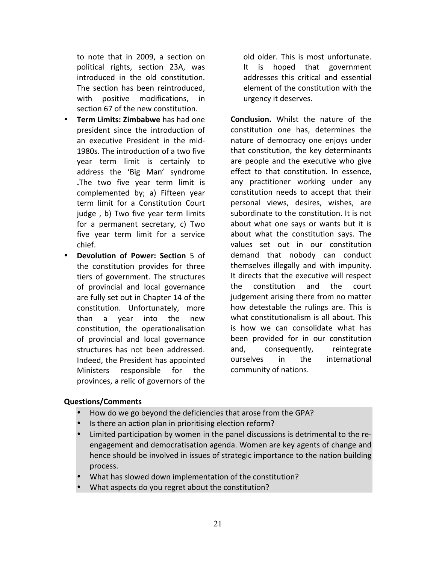to note that in 2009, a section on political rights, section 23A, was introduced in the old constitution. The section has been reintroduced. with positive modifications, in section 67 of the new constitution.

- **Term Limits: Zimbabwe** has had one president since the introduction of an executive President in the mid-1980s. The introduction of a two five year term limit is certainly to address the 'Big Man' syndrome **.**The two five year term limit is complemented by; a) Fifteen year term limit for a Constitution Court judge, b) Two five year term limits for a permanent secretary, c) Two five year term limit for a service chief.
- **Devolution of Power: Section** 5 of the constitution provides for three tiers of government. The structures of provincial and local governance are fully set out in Chapter 14 of the constitution. Unfortunately, more than a year into the new constitution, the operationalisation of provincial and local governance structures has not been addressed. Indeed, the President has appointed Ministers responsible for the provinces, a relic of governors of the

old older. This is most unfortunate. It is hoped that government addresses this critical and essential element of the constitution with the urgency it deserves.

**Conclusion.** Whilst the nature of the constitution one has, determines the nature of democracy one enjoys under that constitution, the key determinants are people and the executive who give effect to that constitution. In essence, any practitioner working under any constitution needs to accept that their personal views, desires, wishes, are subordinate to the constitution. It is not about what one says or wants but it is about what the constitution says. The values set out in our constitution demand that nobody can conduct themselves illegally and with impunity. It directs that the executive will respect the constitution and the court judgement arising there from no matter how detestable the rulings are. This is what constitutionalism is all about. This is how we can consolidate what has been provided for in our constitution and, consequently, reintegrate ourselves in the international community of nations.

### **Questions/Comments**

- How do we go beyond the deficiencies that arose from the GPA?
- Is there an action plan in prioritising election reform?
- Limited participation by women in the panel discussions is detrimental to the reengagement and democratisation agenda. Women are key agents of change and hence should be involved in issues of strategic importance to the nation building process.
- What has slowed down implementation of the constitution?
- What aspects do you regret about the constitution?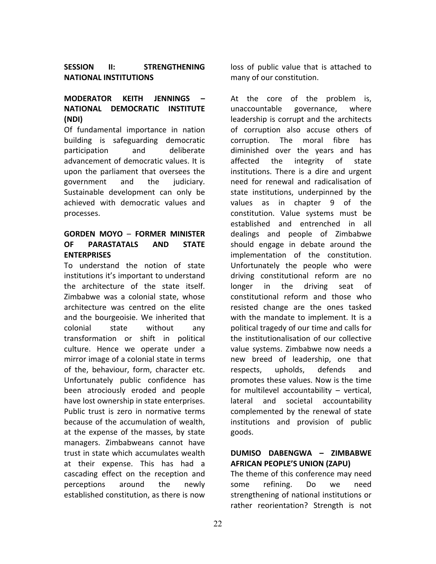### SESSION II: STRENGTHENING **NATIONAL INSTITUTIONS**

# **MODERATOR KEITH JENNINGS – NATIONAL DEMOCRATIC INSTITUTE (NDI)**

Of fundamental importance in nation building is safeguarding democratic participation and deliberate advancement of democratic values. It is upon the parliament that oversees the government and the judiciary. Sustainable development can only be achieved with democratic values and processes. 

# **GORDEN MOYO** – **FORMER MINISTER OF PARASTATALS AND STATE ENTERPRISES**

To understand the notion of state institutions it's important to understand the architecture of the state itself. Zimbabwe was a colonial state, whose architecture was centred on the elite and the bourgeoisie. We inherited that colonial state without any transformation or shift in political culture. Hence we operate under a mirror image of a colonial state in terms of the, behaviour, form, character etc. Unfortunately public confidence has been atrociously eroded and people have lost ownership in state enterprises. Public trust is zero in normative terms because of the accumulation of wealth, at the expense of the masses, by state managers. Zimbabweans cannot have trust in state which accumulates wealth at their expense. This has had a cascading effect on the reception and perceptions around the newly established constitution, as there is now

loss of public value that is attached to many of our constitution.

At the core of the problem is, unaccountable governance, where leadership is corrupt and the architects of corruption also accuse others of corruption. The moral fibre has diminished over the years and has affected the integrity of state institutions. There is a dire and urgent need for renewal and radicalisation of state institutions, underpinned by the values as in chapter 9 of the constitution. Value systems must be established and entrenched in all dealings and people of Zimbabwe should engage in debate around the implementation of the constitution. Unfortunately the people who were driving constitutional reform are no longer in the driving seat of constitutional reform and those who resisted change are the ones tasked with the mandate to implement. It is a political tragedy of our time and calls for the institutionalisation of our collective value systems. Zimbabwe now needs a new breed of leadership, one that respects, upholds, defends and promotes these values. Now is the time for multilevel accountability  $-$  vertical, lateral and societal accountability complemented by the renewal of state institutions and provision of public goods.

# **DUMISO DABENGWA – ZIMBABWE AFRICAN PEOPLE'S UNION (ZAPU)**

The theme of this conference may need some refining. Do we need strengthening of national institutions or rather reorientation? Strength is not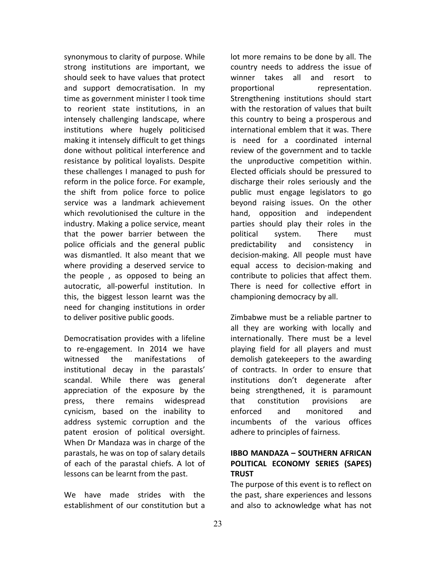synonymous to clarity of purpose. While strong institutions are important, we should seek to have values that protect and support democratisation. In my time as government minister I took time to reorient state institutions, in an intensely challenging landscape, where institutions where hugely politicised making it intensely difficult to get things done without political interference and resistance by political loyalists. Despite these challenges I managed to push for reform in the police force. For example, the shift from police force to police service was a landmark achievement which revolutionised the culture in the industry. Making a police service, meant that the power barrier between the police officials and the general public was dismantled. It also meant that we where providing a deserved service to the people, as opposed to being an autocratic, all-powerful institution. In this, the biggest lesson learnt was the need for changing institutions in order to deliver positive public goods.

Democratisation provides with a lifeline to re-engagement. In 2014 we have witnessed the manifestations of institutional decay in the parastals' scandal. While there was general appreciation of the exposure by the press, there remains widespread cynicism, based on the inability to address systemic corruption and the patent erosion of political oversight. When Dr Mandaza was in charge of the parastals, he was on top of salary details of each of the parastal chiefs. A lot of lessons can be learnt from the past.

We have made strides with the establishment of our constitution but a lot more remains to be done by all. The country needs to address the issue of winner takes all and resort to proportional representation. Strengthening institutions should start with the restoration of values that built this country to being a prosperous and international emblem that it was. There is need for a coordinated internal review of the government and to tackle the unproductive competition within. Elected officials should be pressured to discharge their roles seriously and the public must engage legislators to go beyond raising issues. On the other hand, opposition and independent parties should play their roles in the political system. There must predictability and consistency in decision-making. All people must have equal access to decision-making and contribute to policies that affect them. There is need for collective effort in championing democracy by all.

Zimbabwe must be a reliable partner to all they are working with locally and internationally. There must be a level playing field for all players and must demolish gatekeepers to the awarding of contracts. In order to ensure that institutions don't degenerate after being strengthened, it is paramount that constitution provisions are enforced and monitored and incumbents of the various offices adhere to principles of fairness.

# **IBBO MANDAZA – SOUTHERN AFRICAN POLITICAL ECONOMY SERIES (SAPES) TRUST**

The purpose of this event is to reflect on the past, share experiences and lessons and also to acknowledge what has not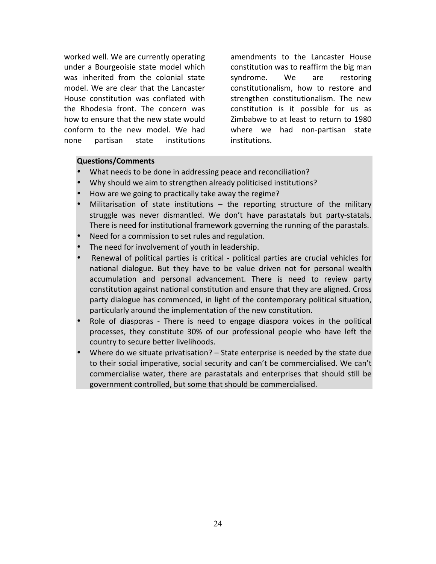worked well. We are currently operating under a Bourgeoisie state model which was inherited from the colonial state model. We are clear that the Lancaster House constitution was conflated with the Rhodesia front. The concern was how to ensure that the new state would conform to the new model. We had none partisan state institutions  amendments to the Lancaster House constitution was to reaffirm the big man syndrome. We are restoring constitutionalism, how to restore and strengthen constitutionalism. The new constitution is it possible for us as Zimbabwe to at least to return to 1980 where we had non-partisan state institutions.

#### **Questions/Comments**

- What needs to be done in addressing peace and reconciliation?
- Why should we aim to strengthen already politicised institutions?
- How are we going to practically take away the regime?
- Militarisation of state institutions  $-$  the reporting structure of the military struggle was never dismantled. We don't have parastatals but party-statals. There is need for institutional framework governing the running of the parastals.
- Need for a commission to set rules and regulation.
- The need for involvement of youth in leadership.
- Renewal of political parties is critical political parties are crucial vehicles for national dialogue. But they have to be value driven not for personal wealth accumulation and personal advancement. There is need to review party constitution against national constitution and ensure that they are aligned. Cross party dialogue has commenced, in light of the contemporary political situation, particularly around the implementation of the new constitution.
- Role of diasporas There is need to engage diaspora voices in the political processes, they constitute 30% of our professional people who have left the country to secure better livelihoods.
- Where do we situate privatisation?  $-$  State enterprise is needed by the state due to their social imperative, social security and can't be commercialised. We can't commercialise water, there are parastatals and enterprises that should still be government controlled, but some that should be commercialised.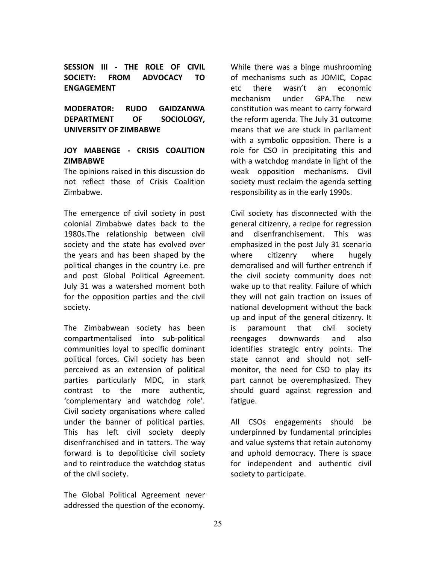**SESSION III - THE ROLE OF CIVIL SOCIETY: FROM ADVOCACY TO ENGAGEMENT**

**MODERATOR: RUDO GAIDZANWA DEPARTMENT OF SOCIOLOGY, UNIVERSITY OF ZIMBABWE**

# **JOY MABENGE - CRISIS COALITION ZIMBABWE**

The opinions raised in this discussion do not reflect those of Crisis Coalition Zimbabwe.

The emergence of civil society in post colonial Zimbabwe dates back to the 1980s.The relationship between civil society and the state has evolved over the years and has been shaped by the political changes in the country *i.e.* pre and post Global Political Agreement. July 31 was a watershed moment both for the opposition parties and the civil society.

The Zimbabwean society has been compartmentalised into sub-political communities loyal to specific dominant political forces. Civil society has been perceived as an extension of political parties particularly MDC, in stark contrast to the more authentic, 'complementary and watchdog role'. Civil society organisations where called under the banner of political parties. This has left civil society deeply disenfranchised and in tatters. The way forward is to depoliticise civil society and to reintroduce the watchdog status of the civil society.

The Global Political Agreement never addressed the question of the economy.

While there was a binge mushrooming of mechanisms such as JOMIC, Copac etc there wasn't an economic mechanism under GPA.The new constitution was meant to carry forward the reform agenda. The July 31 outcome means that we are stuck in parliament with a symbolic opposition. There is a role for CSO in precipitating this and with a watchdog mandate in light of the weak opposition mechanisms. Civil society must reclaim the agenda setting responsibility as in the early 1990s.

Civil society has disconnected with the general citizenry, a recipe for regression and disenfranchisement. This was emphasized in the post July 31 scenario where citizenry where hugely demoralised and will further entrench if the civil society community does not wake up to that reality. Failure of which they will not gain traction on issues of national development without the back up and input of the general citizenry. It is paramount that civil society reengages downwards and also identifies strategic entry points. The state cannot and should not selfmonitor, the need for CSO to play its part cannot be overemphasized. They should guard against regression and fatigue.

All CSOs engagements should be underpinned by fundamental principles and value systems that retain autonomy and uphold democracy. There is space for independent and authentic civil society to participate.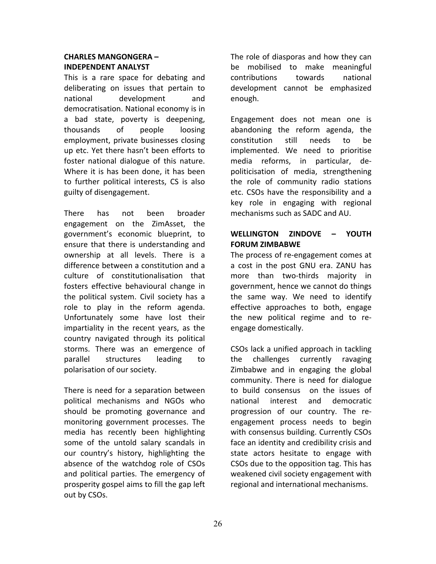# **CHARLES MANGONGERA – INDEPENDENT ANALYST**

This is a rare space for debating and deliberating on issues that pertain to national development and democratisation. National economy is in a bad state, poverty is deepening, thousands of people loosing employment, private businesses closing up etc. Yet there hasn't been efforts to foster national dialogue of this nature. Where it is has been done, it has been to further political interests, CS is also guilty of disengagement.

There has not been broader engagement on the ZimAsset, the government's economic blueprint, to ensure that there is understanding and ownership at all levels. There is a difference between a constitution and a culture of constitutionalisation that fosters effective behavioural change in the political system. Civil society has a role to play in the reform agenda. Unfortunately some have lost their impartiality in the recent years, as the country navigated through its political storms. There was an emergence of parallel structures leading to polarisation of our society.

There is need for a separation between political mechanisms and NGOs who should be promoting governance and monitoring government processes. The media has recently been highlighting some of the untold salary scandals in our country's history, highlighting the absence of the watchdog role of CSOs and political parties. The emergency of prosperity gospel aims to fill the gap left out by CSOs.

The role of diasporas and how they can be mobilised to make meaningful contributions towards national development cannot be emphasized enough.

Engagement does not mean one is abandoning the reform agenda, the constitution still needs to be implemented. We need to prioritise media reforms, in particular, depoliticisation of media, strengthening the role of community radio stations etc. CSOs have the responsibility and a key role in engaging with regional mechanisms such as SADC and AU.

# **WELLINGTON ZINDOVE – YOUTH FORUM ZIMBABWE**

The process of re-engagement comes at a cost in the post GNU era. ZANU has more than two-thirds majority in government, hence we cannot do things the same way. We need to identify effective approaches to both, engage the new political regime and to reengage domestically.

CSOs lack a unified approach in tackling the challenges currently ravaging Zimbabwe and in engaging the global community. There is need for dialogue to build consensus on the issues of national interest and democratic progression of our country. The reengagement process needs to begin with consensus building. Currently CSOs face an identity and credibility crisis and state actors hesitate to engage with CSOs due to the opposition tag. This has weakened civil society engagement with regional and international mechanisms.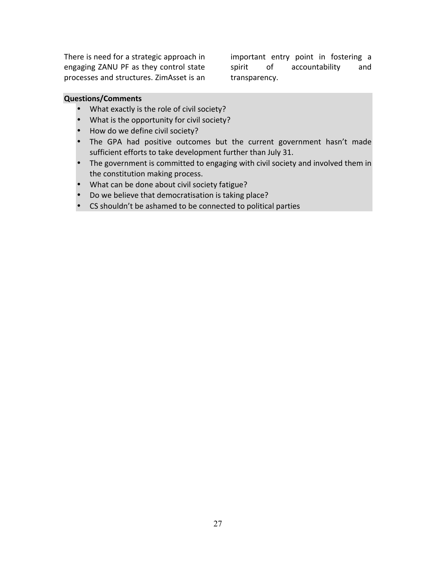There is need for a strategic approach in engaging ZANU PF as they control state processes and structures. ZimAsset is an

important entry point in fostering a spirit of accountability and transparency. 

#### **Questions/Comments**

- What exactly is the role of civil society?
- What is the opportunity for civil society?
- How do we define civil society?
- The GPA had positive outcomes but the current government hasn't made sufficient efforts to take development further than July 31.
- The government is committed to engaging with civil society and involved them in the constitution making process.
- What can be done about civil society fatigue?
- Do we believe that democratisation is taking place?
- CS shouldn't be ashamed to be connected to political parties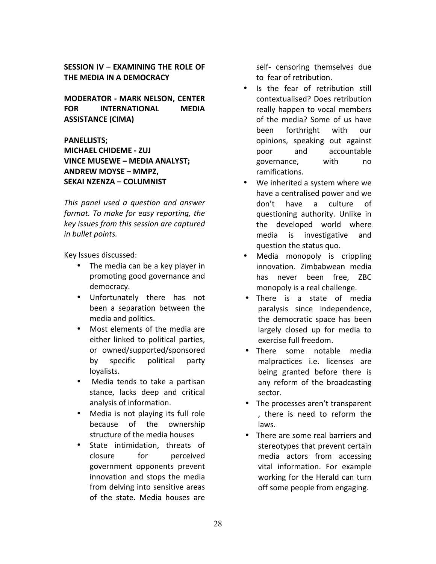**SESSION IV – EXAMINING THE ROLE OF THE MEDIA IN A DEMOCRACY** 

**MODERATOR - MARK NELSON, CENTER FOR INTERNATIONAL MEDIA ASSISTANCE (CIMA)** 

**PANELLISTS; MICHAEL CHIDEME - ZUJ VINCE MUSEWE - MEDIA ANALYST; ANDREW MOYSE – MMPZ, SEKAI NZENZA – COLUMNIST**

*This panel used a question and answer format.* To make for easy reporting, the *key issues from this session are captured in bullet points.*

Key Issues discussed:

- The media can be a key player in promoting good governance and democracy.
- Unfortunately there has not been a separation between the media and politics.
- Most elements of the media are either linked to political parties, or owned/supported/sponsored by specific political party loyalists.
- Media tends to take a partisan stance, lacks deep and critical analysis of information.
- Media is not playing its full role because of the ownership structure of the media houses
- State intimidation, threats of closure for perceived government opponents prevent innovation and stops the media from delving into sensitive areas of the state. Media houses are

self- censoring themselves due to fear of retribution.

- Is the fear of retribution still contextualised? Does retribution really happen to vocal members of the media? Some of us have been forthright with our opinions, speaking out against poor and accountable governance, with no ramifications.
- We inherited a system where we have a centralised power and we don't have a culture of questioning authority. Unlike in the developed world where media is investigative and question the status quo.
- Media monopoly is crippling innovation. Zimbabwean media has never been free, ZBC monopoly is a real challenge.
- There is a state of media paralysis since independence, the democratic space has been largely closed up for media to exercise full freedom.
- There some notable media malpractices i.e. licenses are being granted before there is any reform of the broadcasting sector.
- The processes aren't transparent , there is need to reform the laws.
- There are some real barriers and stereotypes that prevent certain media actors from accessing vital information. For example working for the Herald can turn off some people from engaging.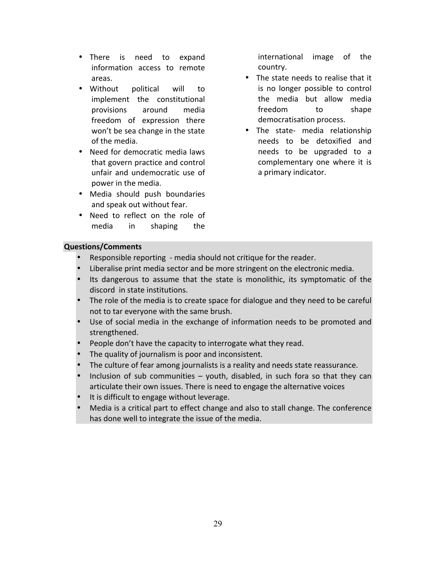- There is need to expand information access to remote areas.
- Without political will to implement the constitutional provisions around media freedom of expression there won't be sea change in the state of the media.
- Need for democratic media laws that govern practice and control unfair and undemocratic use of power in the media.
- Media should push boundaries and speak out without fear.
- Need to reflect on the role of media in shaping the

international image of the country.

- The state needs to realise that it is no longer possible to control the media but allow media freedom to shape democratisation process.
- The state- media relationship needs to be detoxified and needs to be upgraded to a complementary one where it is a primary indicator.

# **Questions/Comments**

- Responsible reporting media should not critique for the reader.
- Liberalise print media sector and be more stringent on the electronic media.
- Its dangerous to assume that the state is monolithic, its symptomatic of the discord in state institutions.
- The role of the media is to create space for dialogue and they need to be careful not to tar everyone with the same brush.
- Use of social media in the exchange of information needs to be promoted and strengthened.
- People don't have the capacity to interrogate what they read.
- The quality of journalism is poor and inconsistent.
- The culture of fear among journalists is a reality and needs state reassurance.
- Inclusion of sub communities  $-$  youth, disabled, in such fora so that they can articulate their own issues. There is need to engage the alternative voices
- It is difficult to engage without leverage.
- Media is a critical part to effect change and also to stall change. The conference has done well to integrate the issue of the media.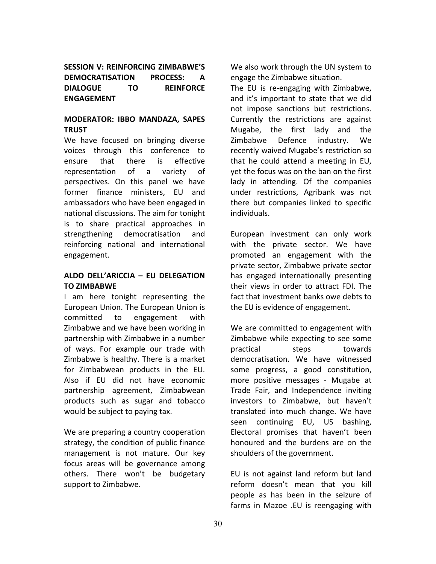**SESSION V: REINFORCING ZIMBABWE'S DEMOCRATISATION PROCESS: A DIALOGUE TO REINFORCE ENGAGEMENT**

# **MODERATOR: IBBO MANDAZA, SAPES TRUST**

We have focused on bringing diverse voices through this conference to ensure that there is effective representation of a variety of perspectives. On this panel we have former finance ministers, EU and ambassadors who have been engaged in national discussions. The aim for tonight is to share practical approaches in strengthening democratisation and reinforcing national and international engagement. 

### **ALDO DELL'ARICCIA – EU DELEGATION TO ZIMBABWE**

I am here tonight representing the European Union. The European Union is committed to engagement with Zimbabwe and we have been working in partnership with Zimbabwe in a number of ways. For example our trade with Zimbabwe is healthy. There is a market for Zimbabwean products in the EU. Also if EU did not have economic partnership agreement, Zimbabwean products such as sugar and tobacco would be subject to paying tax.

We are preparing a country cooperation strategy, the condition of public finance management is not mature. Our key focus areas will be governance among others. There won't be budgetary support to Zimbabwe.

We also work through the UN system to engage the Zimbabwe situation.

The EU is re-engaging with Zimbabwe, and it's important to state that we did not impose sanctions but restrictions. Currently the restrictions are against Mugabe, the first lady and the Zimbabwe Defence industry. We recently waived Mugabe's restriction so that he could attend a meeting in EU, yet the focus was on the ban on the first lady in attending. Of the companies under restrictions, Agribank was not there but companies linked to specific individuals.

European investment can only work with the private sector. We have promoted an engagement with the private sector, Zimbabwe private sector has engaged internationally presenting their views in order to attract FDI. The fact that investment banks owe debts to the EU is evidence of engagement.

We are committed to engagement with Zimbabwe while expecting to see some practical steps towards democratisation. We have witnessed some progress, a good constitution, more positive messages - Mugabe at Trade Fair, and Independence inviting investors to Zimbabwe, but haven't translated into much change. We have seen continuing EU, US bashing, Electoral promises that haven't been honoured and the burdens are on the shoulders of the government.

EU is not against land reform but land reform doesn't mean that you kill people as has been in the seizure of farms in Mazoe .EU is reengaging with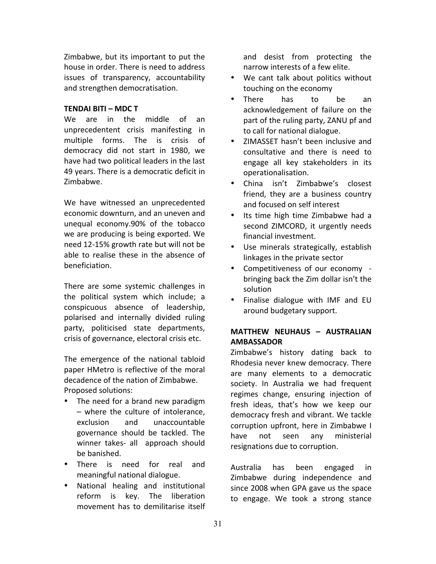Zimbabwe, but its important to put the house in order. There is need to address issues of transparency, accountability and strengthen democratisation.

#### **TENDAI BITI – MDC T**

We are in the middle of an unprecedentent crisis manifesting in multiple forms. The is crisis of democracy did not start in 1980, we have had two political leaders in the last 49 years. There is a democratic deficit in Zimbabwe. 

We have witnessed an unprecedented economic downturn, and an uneven and unequal economy.90% of the tobacco we are producing is being exported. We need 12-15% growth rate but will not be able to realise these in the absence of beneficiation.

There are some systemic challenges in the political system which include; a conspicuous absence of leadership, polarised and internally divided ruling party, politicised state departments, crisis of governance, electoral crisis etc.

The emergence of the national tabloid paper HMetro is reflective of the moral decadence of the nation of Zimbabwe. Proposed solutions:

- The need for a brand new paradigm – where the culture of intolerance, exclusion and unaccountable governance should be tackled. The winner takes- all approach should be banished.
- There is need for real and meaningful national dialogue.
- National healing and institutional reform is key. The liberation movement has to demilitarise itself

and desist from protecting the narrow interests of a few elite.

- We cant talk about politics without touching on the economy
- There has to be an acknowledgement of failure on the part of the ruling party, ZANU pf and to call for national dialogue.
- ZIMASSET hasn't been inclusive and consultative and there is need to engage all key stakeholders in its operationalisation.
- China isn't Zimbabwe's closest friend, they are a business country and focused on self interest
- Its time high time Zimbabwe had a second ZIMCORD, it urgently needs financial investment.
- Use minerals strategically, establish linkages in the private sector
- Competitiveness of our economy bringing back the Zim dollar isn't the solution
- Finalise dialogue with IMF and EU around budgetary support.

# **MATTHEW NEUHAUS – AUSTRALIAN AMBASSADOR**

Zimbabwe's history dating back to Rhodesia never knew democracy. There are many elements to a democratic society. In Australia we had frequent regimes change, ensuring injection of fresh ideas, that's how we keep our democracy fresh and vibrant. We tackle corruption upfront, here in Zimbabwe I have not seen any ministerial resignations due to corruption.

Australia has been engaged in Zimbabwe during independence and since 2008 when GPA gave us the space to engage. We took a strong stance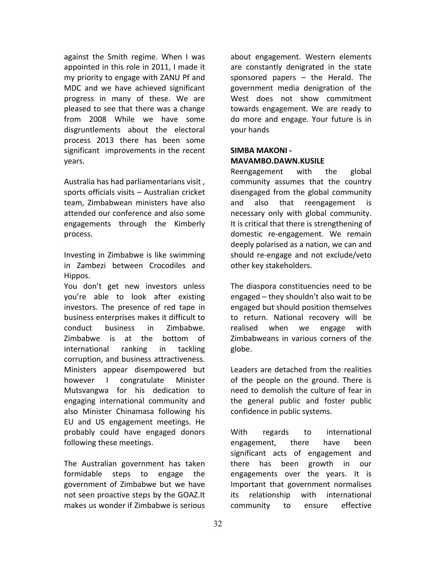against the Smith regime. When I was appointed in this role in 2011. I made it my priority to engage with ZANU Pf and MDC and we have achieved significant progress in many of these. We are pleased to see that there was a change from 2008 While we have some disgruntlements about the electoral process 2013 there has been some significant improvements in the recent years.

Australia has had parliamentarians visit, sports officials visits  $-$  Australian cricket team, Zimbabwean ministers have also attended our conference and also some engagements through the Kimberly process.

Investing in Zimbabwe is like swimming in Zambezi between Crocodiles and Hippos.

You don't get new investors unless you're able to look after existing investors. The presence of red tape in business enterprises makes it difficult to conduct business in Zimbabwe. Zimbabwe is at the bottom of international ranking in tackling corruption, and business attractiveness. Ministers appear disempowered but however I congratulate Minister Mutsvangwa for his dedication to engaging international community and also Minister Chinamasa following his EU and US engagement meetings. He probably could have engaged donors following these meetings.

The Australian government has taken formidable steps to engage the government of Zimbabwe but we have not seen proactive steps by the GOAZ.It makes us wonder if Zimbabwe is serious

about engagement. Western elements are constantly denigrated in the state sponsored papers  $-$  the Herald. The government media denigration of the West does not show commitment towards engagement. We are ready to do more and engage. Your future is in your hands

### **SIMBA MAKONI - MAVAMBO.DAWN.KUSILE**

Reengagement with the global community assumes that the country disengaged from the global community and also that reengagement necessary only with global community. It is critical that there is strengthening of domestic re-engagement. We remain deeply polarised as a nation, we can and should re-engage and not exclude/veto other key stakeholders.

The diaspora constituencies need to be engaged  $-$  they shouldn't also wait to be engaged but should position themselves to return. National recovery will be realised when we engage with Zimbabweans in various corners of the globe.

Leaders are detached from the realities of the people on the ground. There is need to demolish the culture of fear in the general public and foster public confidence in public systems.

With regards to international engagement, there have been significant acts of engagement and there has been growth in our engagements over the years. It is Important that government normalises its relationship with international community to ensure effective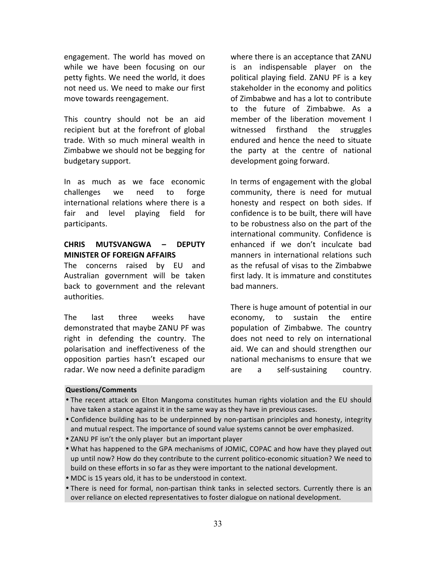engagement. The world has moved on while we have been focusing on our petty fights. We need the world, it does not need us. We need to make our first move towards reengagement.

This country should not be an aid recipient but at the forefront of global trade. With so much mineral wealth in Zimbabwe we should not be begging for budgetary support.

In as much as we face economic challenges we need to forge international relations where there is a fair and level playing field for participants.

### **CHRIS MUTSVANGWA – DEPUTY MINISTER OF FOREIGN AFFAIRS**

The concerns raised by EU and Australian government will be taken back to government and the relevant authorities.

The last three weeks have demonstrated that maybe ZANU PF was right in defending the country. The polarisation and ineffectiveness of the opposition parties hasn't escaped our radar. We now need a definite paradigm where there is an acceptance that ZANU is an indispensable player on the political playing field. ZANU PF is a key stakeholder in the economy and politics of Zimbabwe and has a lot to contribute to the future of Zimbabwe. As a member of the liberation movement I witnessed firsthand the struggles endured and hence the need to situate the party at the centre of national development going forward.

In terms of engagement with the global community, there is need for mutual honesty and respect on both sides. If confidence is to be built, there will have to be robustness also on the part of the international community. Confidence is enhanced if we don't inculcate bad manners in international relations such as the refusal of visas to the Zimbabwe first lady. It is immature and constitutes bad manners.

There is huge amount of potential in our economy, to sustain the entire population of Zimbabwe. The country does not need to rely on international aid. We can and should strengthen our national mechanisms to ensure that we are a self-sustaining country.

#### **Questions/Comments**

- The recent attack on Elton Mangoma constitutes human rights violation and the EU should have taken a stance against it in the same way as they have in previous cases.
- Confidence building has to be underpinned by non-partisan principles and honesty, integrity and mutual respect. The importance of sound value systems cannot be over emphasized.
- ZANU PF isn't the only player but an important player
- What has happened to the GPA mechanisms of JOMIC, COPAC and how have they played out up until now? How do they contribute to the current politico-economic situation? We need to build on these efforts in so far as they were important to the national development.
- MDC is 15 years old, it has to be understood in context.
- There is need for formal, non-partisan think tanks in selected sectors. Currently there is an over reliance on elected representatives to foster dialogue on national development.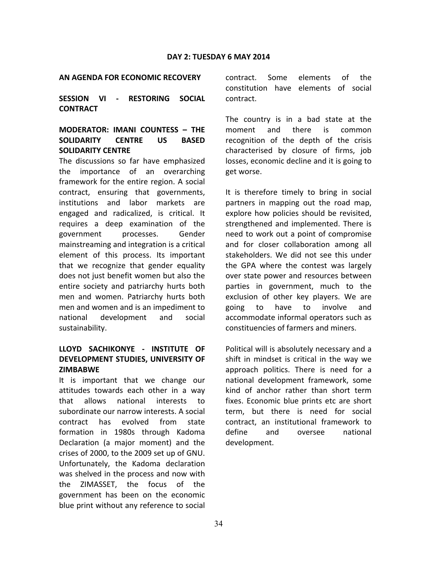#### **AN AGENDA FOR ECONOMIC RECOVERY**

**SESSION VI - RESTORING SOCIAL CONTRACT**

# **MODERATOR: IMANI COUNTESS – THE SOLIDARITY CENTRE US BASED SOLIDARITY CENTRE**

The discussions so far have emphasized the importance of an overarching framework for the entire region. A social contract, ensuring that governments, institutions and labor markets are engaged and radicalized, is critical. It requires a deep examination of the government processes. Gender mainstreaming and integration is a critical element of this process. Its important that we recognize that gender equality does not just benefit women but also the entire society and patriarchy hurts both men and women. Patriarchy hurts both men and women and is an impediment to national development and social sustainability. 

# **LLOYD SACHIKONYE - INSTITUTE OF DEVELOPMENT STUDIES, UNIVERSITY OF ZIMBABWE**

It is important that we change our attitudes towards each other in a way that allows national interests to subordinate our narrow interests. A social contract has evolved from state formation in 1980s through Kadoma Declaration (a major moment) and the crises of 2000, to the 2009 set up of GNU. Unfortunately, the Kadoma declaration was shelved in the process and now with the ZIMASSET, the focus of the government has been on the economic blue print without any reference to social contract. Some elements of the constitution have elements of social contract.

The country is in a bad state at the moment and there is common recognition of the depth of the crisis characterised by closure of firms, job losses, economic decline and it is going to get worse.

It is therefore timely to bring in social partners in mapping out the road map, explore how policies should be revisited, strengthened and implemented. There is need to work out a point of compromise and for closer collaboration among all stakeholders. We did not see this under the GPA where the contest was largely over state power and resources between parties in government, much to the exclusion of other key players. We are going to have to involve and accommodate informal operators such as constituencies of farmers and miners.

Political will is absolutely necessary and a shift in mindset is critical in the way we approach politics. There is need for a national development framework, some kind of anchor rather than short term fixes. Economic blue prints etc are short term, but there is need for social contract, an institutional framework to define and oversee national development.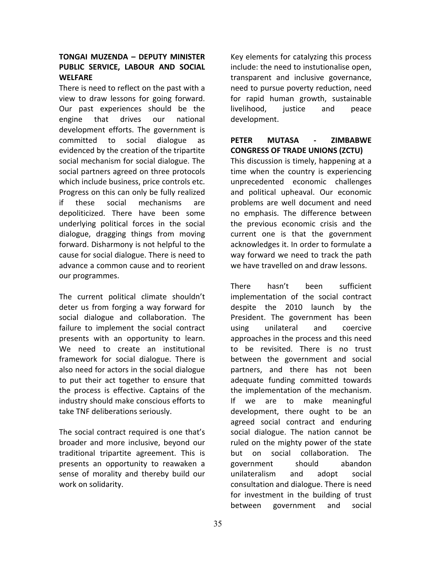# **TONGAI MUZENDA – DEPUTY MINISTER PUBLIC SERVICE, LABOUR AND SOCIAL WELFARE**

There is need to reflect on the past with a view to draw lessons for going forward. Our past experiences should be the engine that drives our national development efforts. The government is committed to social dialogue as evidenced by the creation of the tripartite social mechanism for social dialogue. The social partners agreed on three protocols which include business, price controls etc. Progress on this can only be fully realized if these social mechanisms are depoliticized. There have been some underlying political forces in the social dialogue, dragging things from moving forward. Disharmony is not helpful to the cause for social dialogue. There is need to advance a common cause and to reorient our programmes.

The current political climate shouldn't deter us from forging a way forward for social dialogue and collaboration. The failure to implement the social contract presents with an opportunity to learn. We need to create an institutional framework for social dialogue. There is also need for actors in the social dialogue to put their act together to ensure that the process is effective. Captains of the industry should make conscious efforts to take TNF deliberations seriously.

The social contract required is one that's broader and more inclusive, beyond our traditional tripartite agreement. This is presents an opportunity to reawaken a sense of morality and thereby build our work on solidarity.

Key elements for catalyzing this process include: the need to instutionalise open, transparent and inclusive governance, need to pursue poverty reduction, need for rapid human growth, sustainable livelihood, justice and peace development.

# **PETER MUTASA - ZIMBABWE CONGRESS OF TRADE UNIONS (ZCTU)**

This discussion is timely, happening at a time when the country is experiencing unprecedented economic challenges and political upheaval. Our economic problems are well document and need no emphasis. The difference between the previous economic crisis and the current one is that the government acknowledges it. In order to formulate a way forward we need to track the path we have travelled on and draw lessons.

There hasn't been sufficient implementation of the social contract despite the 2010 launch by the President. The government has been using unilateral and coercive approaches in the process and this need to be revisited. There is no trust between the government and social partners, and there has not been adequate funding committed towards the implementation of the mechanism. If we are to make meaningful development, there ought to be an agreed social contract and enduring social dialogue. The nation cannot be ruled on the mighty power of the state but on social collaboration. The government should abandon unilateralism and adopt social consultation and dialogue. There is need for investment in the building of trust between government and social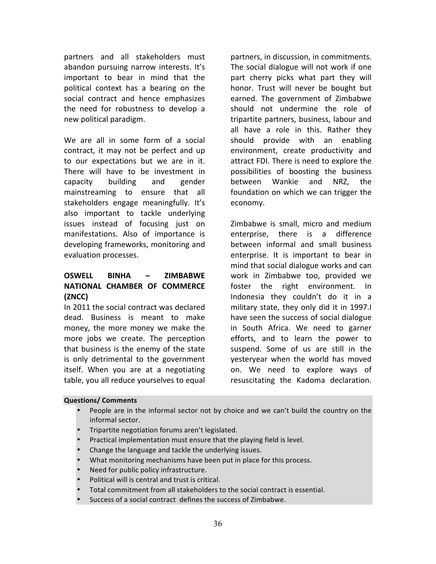partners and all stakeholders must abandon pursuing narrow interests. It's important to bear in mind that the political context has a bearing on the social contract and hence emphasizes the need for robustness to develop a new political paradigm.

We are all in some form of a social contract, it may not be perfect and up to our expectations but we are in it. There will have to be investment in capacity building and gender mainstreaming to ensure that all stakeholders engage meaningfully. It's also important to tackle underlying issues instead of focusing just on manifestations. Also of importance is developing frameworks, monitoring and evaluation processes.

# **OSWELL BINHA – ZIMBABWE NATIONAL CHAMBER OF COMMERCE (ZNCC)**

In 2011 the social contract was declared dead. Business is meant to make money, the more money we make the more jobs we create. The perception that business is the enemy of the state is only detrimental to the government itself. When you are at a negotiating table, you all reduce yourselves to equal partners, in discussion, in commitments. The social dialogue will not work if one part cherry picks what part they will honor. Trust will never be bought but earned. The government of Zimbabwe should not undermine the role of tripartite partners, business, labour and all have a role in this. Rather they should provide with an enabling environment, create productivity and attract FDI. There is need to explore the possibilities of boosting the business between Wankie and NRZ, the foundation on which we can trigger the economy.

Zimbabwe is small, micro and medium enterprise, there is a difference between informal and small business enterprise. It is important to bear in mind that social dialogue works and can work in Zimbabwe too, provided we foster the right environment. In Indonesia they couldn't do it in a military state, they only did it in 1997. have seen the success of social dialogue in South Africa. We need to garner efforts, and to learn the power to suspend. Some of us are still in the yesteryear when the world has moved on. We need to explore ways of resuscitating the Kadoma declaration.

#### **Questions/ Comments**

- People are in the informal sector not by choice and we can't build the country on the informal sector.
- Tripartite negotiation forums aren't legislated.
- Practical implementation must ensure that the playing field is level.
- Change the language and tackle the underlying issues.
- What monitoring mechanisms have been put in place for this process.
- Need for public policy infrastructure.
- Political will is central and trust is critical.
- Total commitment from all stakeholders to the social contract is essential.
- Success of a social contract defines the success of Zimbabwe.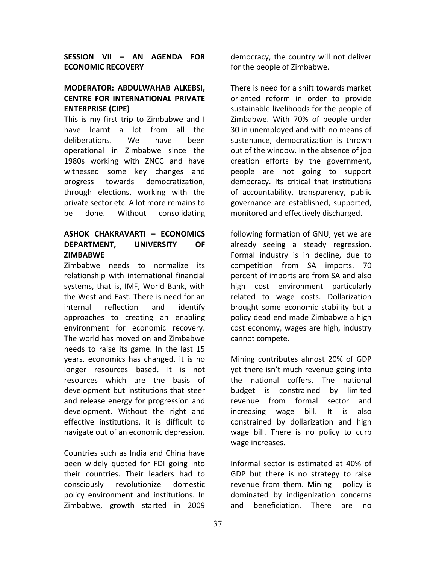**SESSION VII – AN AGENDA FOR ECONOMIC RECOVERY** 

# **MODERATOR: ABDULWAHAB ALKEBSI. CENTRE FOR INTERNATIONAL PRIVATE ENTERPRISE (CIPE)**

This is my first trip to Zimbabwe and I have learnt a lot from all the deliberations. We have been operational in Zimbabwe since the 1980s working with ZNCC and have witnessed some key changes and progress towards democratization, through elections, working with the private sector etc. A lot more remains to be done. Without consolidating

# **ASHOK CHAKRAVARTI – ECONOMICS**  DEPARTMENT, UNIVERSITY OF **ZIMBABWE**

Zimbabwe needs to normalize its relationship with international financial systems, that is, IMF, World Bank, with the West and East. There is need for an internal reflection and identify approaches to creating an enabling environment for economic recovery. The world has moved on and Zimbabwe needs to raise its game. In the last 15 years, economics has changed, it is no longer resources based. It is not resources which are the basis of development but institutions that steer and release energy for progression and development. Without the right and effective institutions, it is difficult to navigate out of an economic depression.

Countries such as India and China have been widely quoted for FDI going into their countries. Their leaders had to consciously revolutionize domestic policy environment and institutions. In Zimbabwe, growth started in 2009 

democracy, the country will not deliver for the people of Zimbabwe.

There is need for a shift towards market oriented reform in order to provide sustainable livelihoods for the people of Zimbabwe. With 70% of people under 30 in unemployed and with no means of sustenance, democratization is thrown out of the window. In the absence of job creation efforts by the government, people are not going to support democracy. Its critical that institutions of accountability, transparency, public governance are established, supported, monitored and effectively discharged.

following formation of GNU, yet we are already seeing a steady regression. Formal industry is in decline, due to competition from SA imports. 70 percent of imports are from SA and also high cost environment particularly related to wage costs. Dollarization brought some economic stability but a policy dead end made Zimbabwe a high cost economy, wages are high, industry cannot compete.

Mining contributes almost 20% of GDP yet there isn't much revenue going into the national coffers. The national budget is constrained by limited revenue from formal sector and increasing wage bill. It is also constrained by dollarization and high wage bill. There is no policy to curb wage increases.

Informal sector is estimated at 40% of GDP but there is no strategy to raise revenue from them. Mining policy is dominated by indigenization concerns and beneficiation. There are no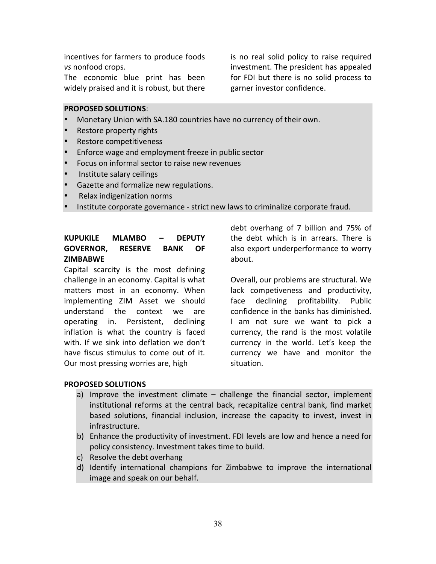incentives for farmers to produce foods *vs* nonfood crops.

The economic blue print has been widely praised and it is robust, but there is no real solid policy to raise required investment. The president has appealed for FDI but there is no solid process to garner investor confidence.

#### **PROPOSED SOLUTIONS**:

- Monetary Union with SA.180 countries have no currency of their own.
- Restore property rights
- Restore competitiveness
- Enforce wage and employment freeze in public sector
- Focus on informal sector to raise new revenues
- Institute salary ceilings
- Gazette and formalize new regulations.
- Relax indigenization norms
- Institute corporate governance strict new laws to criminalize corporate fraud.

# **KUPUKILE MLAMBO – DEPUTY GOVERNOR, RESERVE BANK OF ZIMBABWE**

Capital scarcity is the most defining challenge in an economy. Capital is what matters most in an economy. When implementing ZIM Asset we should understand the context we are operating in. Persistent, declining inflation is what the country is faced with. If we sink into deflation we don't have fiscus stimulus to come out of it. Our most pressing worries are, high

debt overhang of 7 billion and 75% of the debt which is in arrears. There is also export underperformance to worry about. 

Overall, our problems are structural. We lack competiveness and productivity, face declining profitability. Public confidence in the banks has diminished. I am not sure we want to pick a currency, the rand is the most volatile currency in the world. Let's keep the currency we have and monitor the situation.

#### **PROPOSED SOLUTIONS**

- a) Improve the investment climate  $-$  challenge the financial sector, implement institutional reforms at the central back, recapitalize central bank, find market based solutions, financial inclusion, increase the capacity to invest, invest in infrastructure.
- b) Enhance the productivity of investment. FDI levels are low and hence a need for policy consistency. Investment takes time to build.
- c) Resolve the debt overhang
- d) Identify international champions for Zimbabwe to improve the international image and speak on our behalf.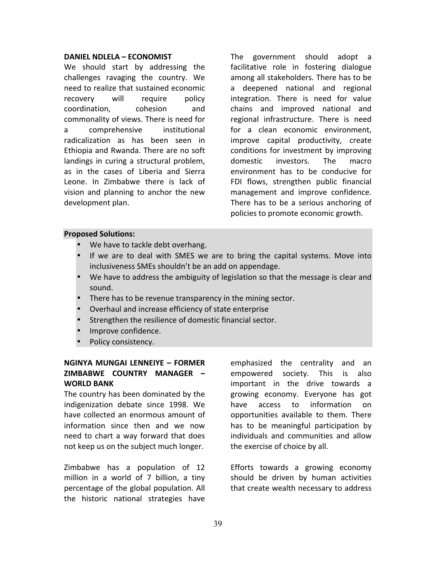#### **DANIEL NDLELA – ECONOMIST**

We should start by addressing the challenges ravaging the country. We need to realize that sustained economic recovery will require policy coordination, cohesion and commonality of views. There is need for a comprehensive institutional radicalization as has been seen in Ethiopia and Rwanda. There are no soft landings in curing a structural problem, as in the cases of Liberia and Sierra Leone. In Zimbabwe there is lack of vision and planning to anchor the new development plan.

The government should adopt a facilitative role in fostering dialogue among all stakeholders. There has to be a deepened national and regional integration. There is need for value chains and improved national and regional infrastructure. There is need for a clean economic environment, improve capital productivity, create conditions for investment by improving domestic investors. The macro environment has to be conducive for FDI flows, strengthen public financial management and improve confidence. There has to be a serious anchoring of policies to promote economic growth.

#### **Proposed Solutions:**

- We have to tackle debt overhang.
- If we are to deal with SMES we are to bring the capital systems. Move into inclusiveness SMEs shouldn't be an add on appendage.
- We have to address the ambiguity of legislation so that the message is clear and sound.
- There has to be revenue transparency in the mining sector.
- Overhaul and increase efficiency of state enterprise
- Strengthen the resilience of domestic financial sector.
- Improve confidence.
- Policy consistency.

# **NGINYA MUNGAI LENNEIYE – FORMER ZIMBABWE COUNTRY MANAGER – WORLD BANK**

The country has been dominated by the indigenization debate since 1998. We have collected an enormous amount of information since then and we now need to chart a way forward that does not keep us on the subject much longer.

Zimbabwe has a population of 12 million in a world of 7 billion, a tiny percentage of the global population. All the historic national strategies have

emphasized the centrality and an empowered society. This is also important in the drive towards a growing economy. Everyone has got have access to information on opportunities available to them. There has to be meaningful participation by individuals and communities and allow the exercise of choice by all.

Efforts towards a growing economy should be driven by human activities that create wealth necessary to address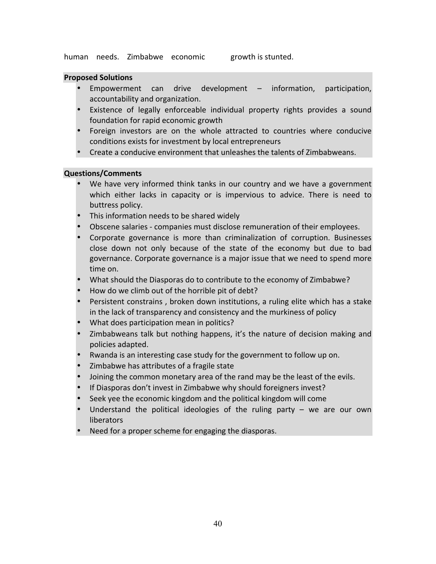human needs. Zimbabwe economic growth is stunted.

#### **Proposed Solutions**

- Empowerment can drive development  $-$  information, participation, accountability and organization.
- Existence of legally enforceable individual property rights provides a sound foundation for rapid economic growth
- Foreign investors are on the whole attracted to countries where conducive conditions exists for investment by local entrepreneurs
- Create a conducive environment that unleashes the talents of Zimbabweans.

#### **Questions/Comments**

- We have very informed think tanks in our country and we have a government which either lacks in capacity or is impervious to advice. There is need to buttress policy.
- This information needs to be shared widely
- Obscene salaries companies must disclose remuneration of their employees.
- Corporate governance is more than criminalization of corruption. Businesses close down not only because of the state of the economy but due to bad governance. Corporate governance is a major issue that we need to spend more time on.
- What should the Diasporas do to contribute to the economy of Zimbabwe?
- How do we climb out of the horrible pit of debt?
- Persistent constrains, broken down institutions, a ruling elite which has a stake in the lack of transparency and consistency and the murkiness of policy
- What does participation mean in politics?
- Zimbabweans talk but nothing happens, it's the nature of decision making and policies adapted.
- Rwanda is an interesting case study for the government to follow up on.
- Zimbabwe has attributes of a fragile state
- Joining the common monetary area of the rand may be the least of the evils.
- If Diasporas don't invest in Zimbabwe why should foreigners invest?
- Seek yee the economic kingdom and the political kingdom will come
- Understand the political ideologies of the ruling party  $-$  we are our own liberators
- Need for a proper scheme for engaging the diasporas.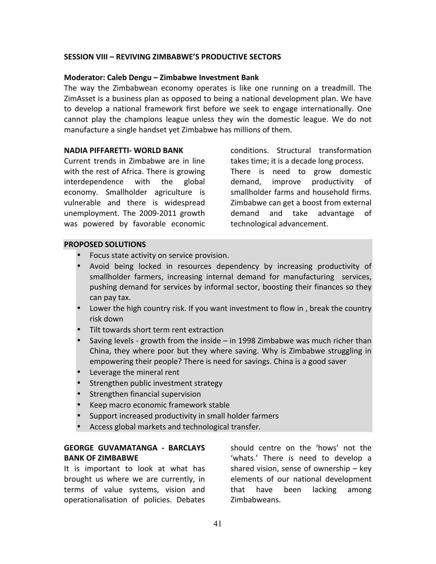#### **SESSION VIII – REVIVING ZIMBABWE'S PRODUCTIVE SECTORS**

#### **Moderator: Caleb Dengu - Zimbabwe Investment Bank**

The way the Zimbabwean economy operates is like one running on a treadmill. The ZimAsset is a business plan as opposed to being a national development plan. We have to develop a national framework first before we seek to engage internationally. One cannot play the champions league unless they win the domestic league. We do not manufacture a single handset yet Zimbabwe has millions of them.

#### **NADIA PIFFARETTI- WORLD BANK**

Current trends in Zimbabwe are in line with the rest of Africa. There is growing interdependence with the global economy. Smallholder agriculture is vulnerable and there is widespread unemployment. The 2009-2011 growth was powered by favorable economic conditions. Structural transformation takes time; it is a decade long process. There is need to grow domestic demand, improve productivity of smallholder farms and household firms. Zimbabwe can get a boost from external demand and take advantage of technological advancement.

#### **PROPOSED SOLUTIONS**

- Focus state activity on service provision.
- Avoid being locked in resources dependency by increasing productivity of smallholder farmers, increasing internal demand for manufacturing services, pushing demand for services by informal sector, boosting their finances so they can pay tax.
- Lower the high country risk. If you want investment to flow in, break the country risk down
- Tilt towards short term rent extraction
- Saving levels growth from the inside  $-$  in 1998 Zimbabwe was much richer than China, they where poor but they where saving. Why is Zimbabwe struggling in empowering their people? There is need for savings. China is a good saver
- **Leverage the mineral rent**
- Strengthen public investment strategy
- **Strengthen financial supervision**
- Keep macro economic framework stable
- Support increased productivity in small holder farmers
- Access global markets and technological transfer.

### **GEORGE GUVAMATANGA - BARCLAYS BANK OF ZIMBABWE**

It is important to look at what has brought us where we are currently, in terms of value systems, vision and operationalisation of policies. Debates 

should centre on the 'hows' not the 'whats.' There is need to develop a shared vision, sense of ownership  $-$  key elements of our national development that have been lacking among Zimbabweans.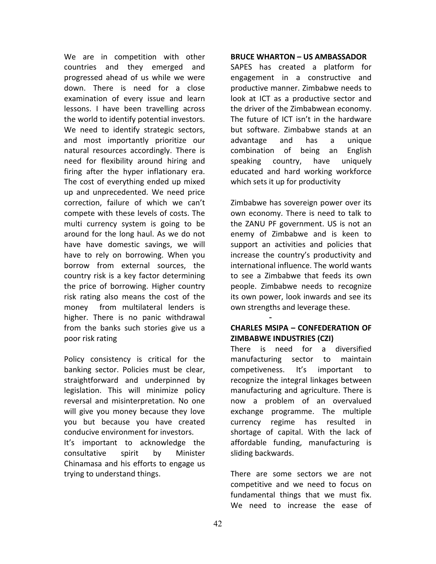We are in competition with other countries and they emerged and progressed ahead of us while we were down. There is need for a close examination of every issue and learn lessons. I have been travelling across the world to identify potential investors. We need to identify strategic sectors, and most importantly prioritize our natural resources accordingly. There is need for flexibility around hiring and firing after the hyper inflationary era. The cost of everything ended up mixed up and unprecedented. We need price correction, failure of which we can't compete with these levels of costs. The multi currency system is going to be around for the long haul. As we do not have have domestic savings, we will have to rely on borrowing. When you borrow from external sources, the country risk is a key factor determining the price of borrowing. Higher country risk rating also means the cost of the money from multilateral lenders is higher. There is no panic withdrawal from the banks such stories give us a poor risk rating

Policy consistency is critical for the banking sector. Policies must be clear, straightforward and underpinned by legislation. This will minimize policy reversal and misinterpretation. No one will give you money because they love you but because you have created conducive environment for investors.

It's important to acknowledge the consultative spirit by Minister Chinamasa and his efforts to engage us trying to understand things.

#### **BRUCE WHARTON – US AMBASSADOR**

SAPES has created a platform for engagement in a constructive and productive manner. Zimbabwe needs to look at ICT as a productive sector and the driver of the Zimbabwean economy. The future of ICT isn't in the hardware but software. Zimbabwe stands at an advantage and has a unique combination of being an English speaking country, have uniquely educated and hard working workforce which sets it up for productivity

Zimbabwe has sovereign power over its own economy. There is need to talk to the ZANU PF government. US is not an enemy of Zimbabwe and is keen to support an activities and policies that increase the country's productivity and international influence. The world wants to see a Zimbabwe that feeds its own people. Zimbabwe needs to recognize its own power, look inwards and see its own strengths and leverage these.

# **CHARLES MSIPA – CONFEDERATION OF ZIMBABWE INDUSTRIES (CZI)**

-

There is need for a diversified manufacturing sector to maintain competiveness. It's important to recognize the integral linkages between manufacturing and agriculture. There is now a problem of an overvalued exchange programme. The multiple currency regime has resulted in shortage of capital. With the lack of affordable funding, manufacturing is sliding backwards.

There are some sectors we are not competitive and we need to focus on fundamental things that we must fix. We need to increase the ease of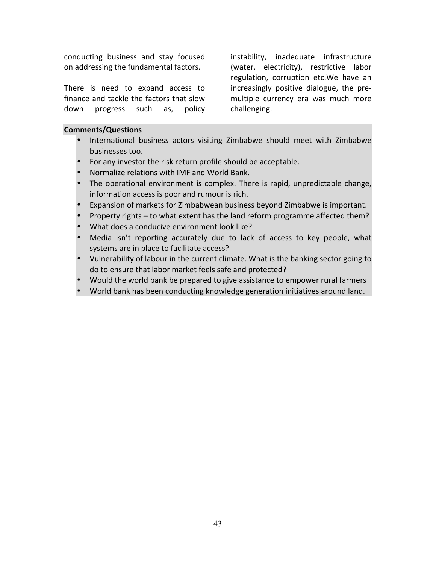conducting business and stay focused on addressing the fundamental factors.

There is need to expand access to finance and tackle the factors that slow down progress such as, policy  instability, inadequate infrastructure (water, electricity), restrictive labor regulation, corruption etc.We have an increasingly positive dialogue, the premultiple currency era was much more challenging.

#### **Comments/Questions**

- International business actors visiting Zimbabwe should meet with Zimbabwe businesses too.
- For any investor the risk return profile should be acceptable.
- Normalize relations with IMF and World Bank.
- The operational environment is complex. There is rapid, unpredictable change, information access is poor and rumour is rich.
- Expansion of markets for Zimbabwean business beyond Zimbabwe is important.
- Property rights to what extent has the land reform programme affected them?
- What does a conducive environment look like?
- Media isn't reporting accurately due to lack of access to key people, what systems are in place to facilitate access?
- Vulnerability of labour in the current climate. What is the banking sector going to do to ensure that labor market feels safe and protected?
- Would the world bank be prepared to give assistance to empower rural farmers
- World bank has been conducting knowledge generation initiatives around land.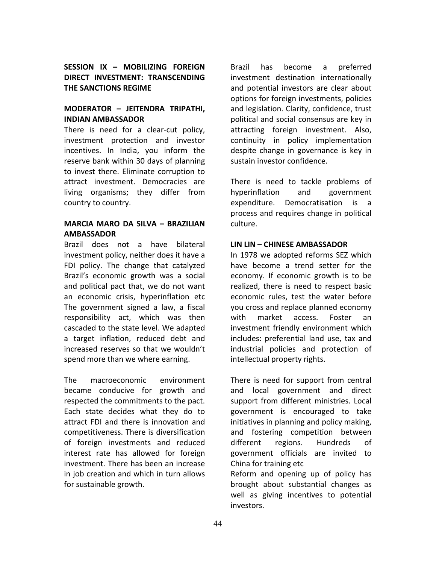# **SESSION IX – MOBILIZING FOREIGN DIRECT INVESTMENT: TRANSCENDING THE SANCTIONS REGIME**

#### **MODERATOR – JEITENDRA TRIPATHI, INDIAN AMBASSADOR**

There is need for a clear-cut policy, investment protection and investor incentives. In India, you inform the reserve bank within 30 days of planning to invest there. Eliminate corruption to attract investment. Democracies are living organisms; they differ from country to country.

# **MARCIA MARO DA SILVA – BRAZILIAN AMBASSADOR**

Brazil does not a have bilateral investment policy, neither does it have a FDI policy. The change that catalyzed Brazil's economic growth was a social and political pact that, we do not want an economic crisis, hyperinflation etc The government signed a law, a fiscal responsibility act, which was then cascaded to the state level. We adapted a target inflation, reduced debt and increased reserves so that we wouldn't spend more than we where earning.

The macroeconomic environment became conducive for growth and respected the commitments to the pact. Each state decides what they do to attract FDI and there is innovation and competitiveness. There is diversification of foreign investments and reduced interest rate has allowed for foreign investment. There has been an increase in job creation and which in turn allows for sustainable growth.

Brazil has become a preferred investment destination internationally and potential investors are clear about options for foreign investments, policies and legislation. Clarity, confidence, trust political and social consensus are key in attracting foreign investment. Also, continuity in policy implementation despite change in governance is key in sustain investor confidence.

There is need to tackle problems of hyperinflation and government expenditure. Democratisation is a process and requires change in political culture.

#### **LIN LIN – CHINESE AMBASSADOR**

In 1978 we adopted reforms SEZ which have become a trend setter for the economy. If economic growth is to be realized, there is need to respect basic economic rules, test the water before you cross and replace planned economy with market access. Foster an investment friendly environment which includes: preferential land use, tax and industrial policies and protection of intellectual property rights.

There is need for support from central and local government and direct support from different ministries. Local government is encouraged to take initiatives in planning and policy making, and fostering competition between different regions. Hundreds of government officials are invited to China for training etc Reform and opening up of policy has brought about substantial changes as well as giving incentives to potential investors.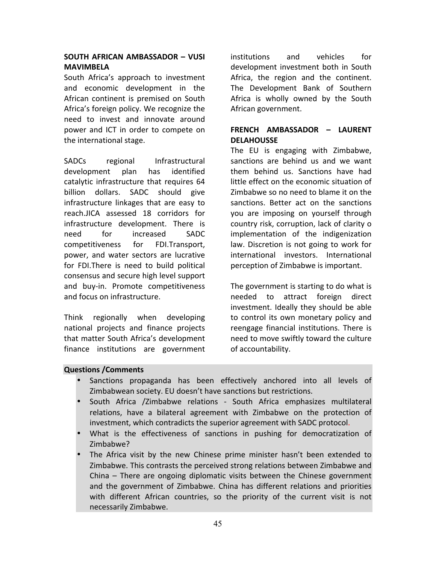# **SOUTH AFRICAN AMBASSADOR – VUSI MAVIMBELA**

South Africa's approach to investment and economic development in the African continent is premised on South Africa's foreign policy. We recognize the need to invest and innovate around power and ICT in order to compete on the international stage.

SADCs regional Infrastructural development plan has identified catalytic infrastructure that requires 64 billion dollars. SADC should give infrastructure linkages that are easy to reach.JICA assessed 18 corridors for infrastructure development. There is need for increased SADC competitiveness for FDI.Transport, power, and water sectors are lucrative for FDI.There is need to build political consensus and secure high level support and buy-in. Promote competitiveness and focus on infrastructure.

Think regionally when developing national projects and finance projects that matter South Africa's development finance institutions are government

institutions and vehicles for development investment both in South Africa, the region and the continent. The Development Bank of Southern Africa is wholly owned by the South African government.

# **FRENCH AMBASSADOR – LAURENT DELAHOUSSE**

The EU is engaging with Zimbabwe, sanctions are behind us and we want them behind us. Sanctions have had little effect on the economic situation of Zimbabwe so no need to blame it on the sanctions. Better act on the sanctions you are imposing on yourself through country risk, corruption, lack of clarity o implementation of the indigenization law. Discretion is not going to work for international investors. International perception of Zimbabwe is important.

The government is starting to do what is needed to attract foreign direct investment. Ideally they should be able to control its own monetary policy and reengage financial institutions. There is need to move swiftly toward the culture of accountability.

# **Questions /Comments**

- Sanctions propaganda has been effectively anchored into all levels of Zimbabwean society. EU doesn't have sanctions but restrictions.
- South Africa /Zimbabwe relations South Africa emphasizes multilateral relations, have a bilateral agreement with Zimbabwe on the protection of investment, which contradicts the superior agreement with SADC protocol.
- What is the effectiveness of sanctions in pushing for democratization of Zimbabwe?
- The Africa visit by the new Chinese prime minister hasn't been extended to Zimbabwe. This contrasts the perceived strong relations between Zimbabwe and China  $-$  There are ongoing diplomatic visits between the Chinese government and the government of Zimbabwe. China has different relations and priorities with different African countries, so the priority of the current visit is not necessarily Zimbabwe.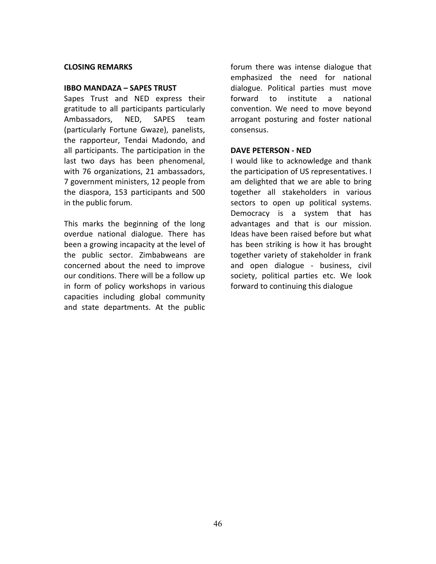#### **CLOSING REMARKS**

#### **IBBO MANDAZA – SAPES TRUST**

Sapes Trust and NED express their gratitude to all participants particularly Ambassadors, NED, SAPES team (particularly Fortune Gwaze), panelists, the rapporteur, Tendai Madondo, and all participants. The participation in the last two days has been phenomenal, with 76 organizations, 21 ambassadors, 7 government ministers, 12 people from the diaspora, 153 participants and 500 in the public forum.

This marks the beginning of the long overdue national dialogue. There has been a growing incapacity at the level of the public sector. Zimbabweans are concerned about the need to improve our conditions. There will be a follow up in form of policy workshops in various capacities including global community and state departments. At the public forum there was intense dialogue that emphasized the need for national dialogue. Political parties must move forward to institute a national convention. We need to move beyond arrogant posturing and foster national consensus.

#### **DAVE PETERSON - NED**

I would like to acknowledge and thank the participation of US representatives. I am delighted that we are able to bring together all stakeholders in various sectors to open up political systems. Democracy is a system that has advantages and that is our mission. Ideas have been raised before but what has been striking is how it has brought together variety of stakeholder in frank and open dialogue - business, civil society, political parties etc. We look forward to continuing this dialogue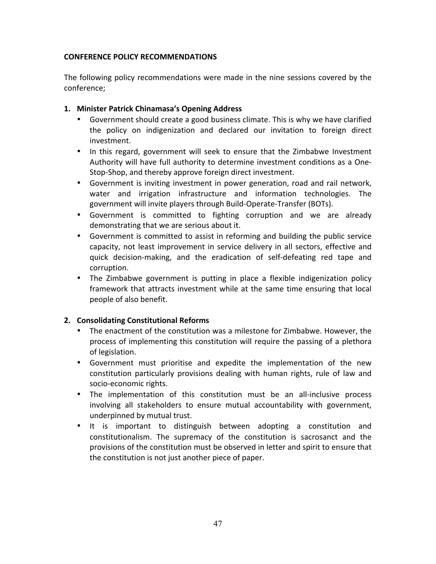# **CONFERENCE POLICY RECOMMENDATIONS**

The following policy recommendations were made in the nine sessions covered by the conference;

# 1. Minister Patrick Chinamasa's Opening Address

- Government should create a good business climate. This is why we have clarified the policy on indigenization and declared our invitation to foreign direct investment.
- In this regard, government will seek to ensure that the Zimbabwe Investment Authority will have full authority to determine investment conditions as a One-Stop-Shop, and thereby approve foreign direct investment.
- Government is inviting investment in power generation, road and rail network, water and irrigation infrastructure and information technologies. The government will invite players through Build-Operate-Transfer (BOTs).
- Government is committed to fighting corruption and we are already demonstrating that we are serious about it.
- Government is committed to assist in reforming and building the public service capacity, not least improvement in service delivery in all sectors, effective and quick decision-making, and the eradication of self-defeating red tape and corruption.
- The Zimbabwe government is putting in place a flexible indigenization policy framework that attracts investment while at the same time ensuring that local people of also benefit.

# **2. Consolidating Constitutional Reforms**

- The enactment of the constitution was a milestone for Zimbabwe. However, the process of implementing this constitution will require the passing of a plethora of legislation.
- Government must prioritise and expedite the implementation of the new constitution particularly provisions dealing with human rights, rule of law and socio-economic rights.
- The implementation of this constitution must be an all-inclusive process involving all stakeholders to ensure mutual accountability with government, underpinned by mutual trust.
- It is important to distinguish between adopting a constitution and constitutionalism. The supremacy of the constitution is sacrosanct and the provisions of the constitution must be observed in letter and spirit to ensure that the constitution is not just another piece of paper.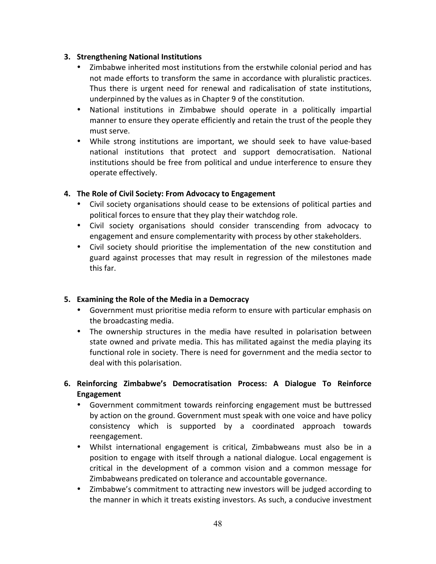# **3. Strengthening National Institutions**

- Zimbabwe inherited most institutions from the erstwhile colonial period and has not made efforts to transform the same in accordance with pluralistic practices. Thus there is urgent need for renewal and radicalisation of state institutions, underpinned by the values as in Chapter 9 of the constitution.
- National institutions in Zimbabwe should operate in a politically impartial manner to ensure they operate efficiently and retain the trust of the people they must serve.
- While strong institutions are important, we should seek to have value-based national institutions that protect and support democratisation. National institutions should be free from political and undue interference to ensure they operate effectively.

# **4.** The Role of Civil Society: From Advocacy to Engagement

- Civil society organisations should cease to be extensions of political parties and political forces to ensure that they play their watchdog role.
- Civil society organisations should consider transcending from advocacy to engagement and ensure complementarity with process by other stakeholders.
- Civil society should prioritise the implementation of the new constitution and guard against processes that may result in regression of the milestones made this far.

# **5.** Examining the Role of the Media in a Democracy

- Government must prioritise media reform to ensure with particular emphasis on the broadcasting media.
- The ownership structures in the media have resulted in polarisation between state owned and private media. This has militated against the media playing its functional role in society. There is need for government and the media sector to deal with this polarisation.
- **6. Reinforcing Zimbabwe's Democratisation Process: A Dialogue To Reinforce Engagement**
	- Government commitment towards reinforcing engagement must be buttressed by action on the ground. Government must speak with one voice and have policy consistency which is supported by a coordinated approach towards reengagement.
	- Whilst international engagement is critical, Zimbabweans must also be in a position to engage with itself through a national dialogue. Local engagement is critical in the development of a common vision and a common message for Zimbabweans predicated on tolerance and accountable governance.
	- Zimbabwe's commitment to attracting new investors will be judged according to the manner in which it treats existing investors. As such, a conducive investment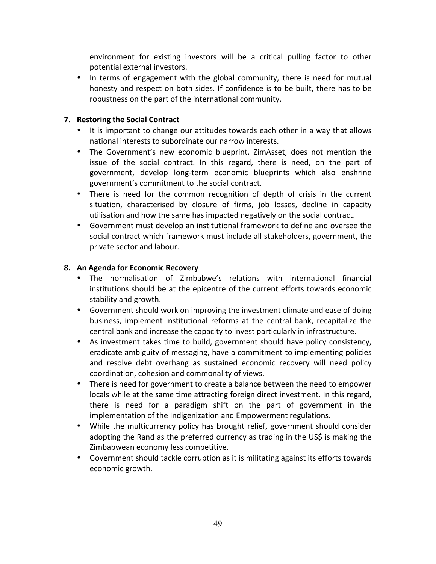environment for existing investors will be a critical pulling factor to other potential external investors.

• In terms of engagement with the global community, there is need for mutual honesty and respect on both sides. If confidence is to be built, there has to be robustness on the part of the international community.

# **7.** Restoring the Social Contract

- It is important to change our attitudes towards each other in a way that allows national interests to subordinate our narrow interests.
- The Government's new economic blueprint, ZimAsset, does not mention the issue of the social contract. In this regard, there is need, on the part of government, develop long-term economic blueprints which also enshrine government's commitment to the social contract.
- There is need for the common recognition of depth of crisis in the current situation, characterised by closure of firms, job losses, decline in capacity utilisation and how the same has impacted negatively on the social contract.
- Government must develop an institutional framework to define and oversee the social contract which framework must include all stakeholders, government, the private sector and labour.

# **8. An Agenda for Economic Recovery**

- The normalisation of Zimbabwe's relations with international financial institutions should be at the epicentre of the current efforts towards economic stability and growth.
- Government should work on improving the investment climate and ease of doing business, implement institutional reforms at the central bank, recapitalize the central bank and increase the capacity to invest particularly in infrastructure.
- As investment takes time to build, government should have policy consistency, eradicate ambiguity of messaging, have a commitment to implementing policies and resolve debt overhang as sustained economic recovery will need policy coordination, cohesion and commonality of views.
- There is need for government to create a balance between the need to empower locals while at the same time attracting foreign direct investment. In this regard, there is need for a paradigm shift on the part of government in the implementation of the Indigenization and Empowerment regulations.
- While the multicurrency policy has brought relief, government should consider adopting the Rand as the preferred currency as trading in the US\$ is making the Zimbabwean economy less competitive.
- Government should tackle corruption as it is militating against its efforts towards economic growth.